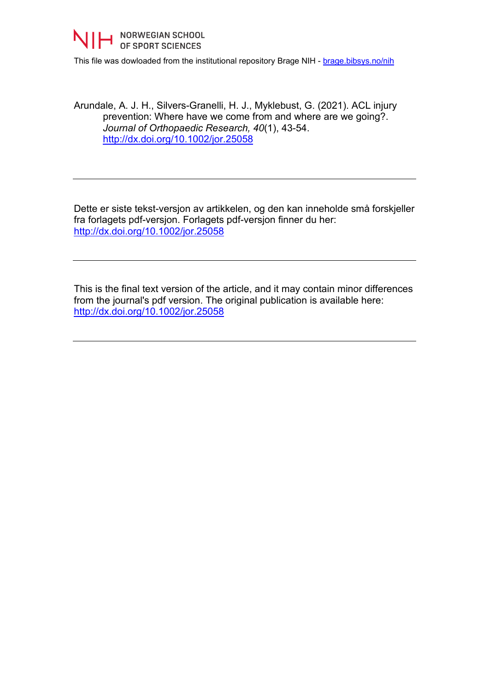

This file was dowloaded from the institutional repository Brage NIH - [brage.bibsys.no/nih](http://brage.bibsys.no/nih)

Arundale, A. J. H., Silvers-Granelli, H. J., Myklebust, G. (2021). ACL injury prevention: Where have we come from and where are we going?. *Journal of Orthopaedic Research, 40*(1), 43-54. <http://dx.doi.org/10.1002/jor.25058>

Dette er siste tekst-versjon av artikkelen, og den kan inneholde små forskjeller fra forlagets pdf-versjon. Forlagets pdf-versjon finner du her: <http://dx.doi.org/10.1002/jor.25058>

This is the final text version of the article, and it may contain minor differences from the journal's pdf version. The original publication is available here: <http://dx.doi.org/10.1002/jor.25058>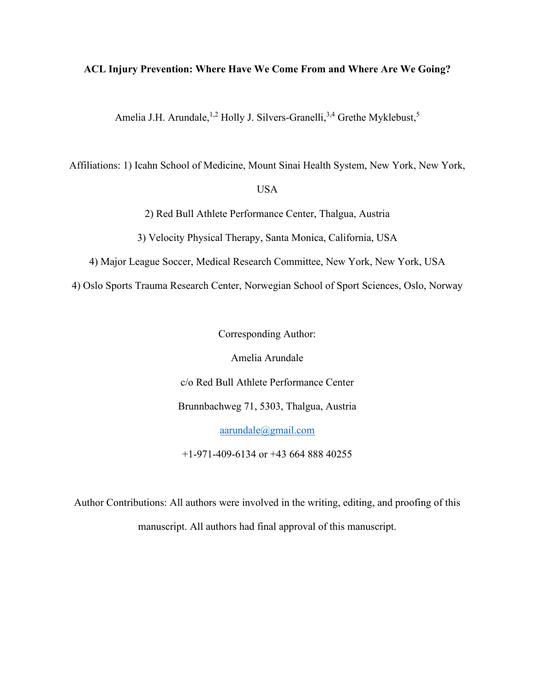#### **ACL Injury Prevention: Where Have We Come From and Where Are We Going?**

Amelia J.H. Arundale,<sup>1,2</sup> Holly J. Silvers-Granelli,<sup>3,4</sup> Grethe Myklebust,<sup>5</sup>

Affiliations: 1) Icahn School of Medicine, Mount Sinai Health System, New York, New York,

### USA

2) Red Bull Athlete Performance Center, Thalgua, Austria

3) Velocity Physical Therapy, Santa Monica, California, USA

4) Major League Soccer, Medical Research Committee, New York, New York, USA

4) Oslo Sports Trauma Research Center, Norwegian School of Sport Sciences, Oslo, Norway

Corresponding Author:

Amelia Arundale

c/o Red Bull Athlete Performance Center

Brunnbachweg 71, 5303, Thalgua, Austria

[aarundale@gmail.com](mailto:aarundale@gmail.com)

+1-971-409-6134 or +43 664 888 40255

Author Contributions: All authors were involved in the writing, editing, and proofing of this manuscript. All authors had final approval of this manuscript.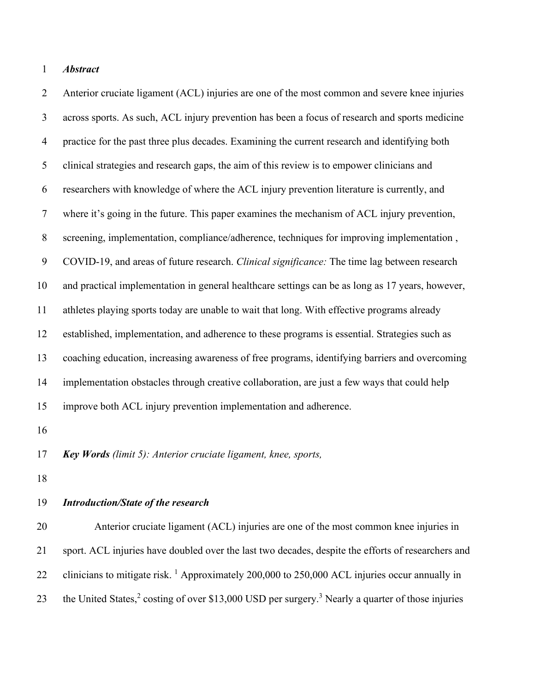### *Abstract*

 Anterior cruciate ligament (ACL) injuries are one of the most common and severe knee injuries across sports. As such, ACL injury prevention has been a focus of research and sports medicine practice for the past three plus decades. Examining the current research and identifying both clinical strategies and research gaps, the aim of this review is to empower clinicians and researchers with knowledge of where the ACL injury prevention literature is currently, and where it's going in the future. This paper examines the mechanism of ACL injury prevention, screening, implementation, compliance/adherence, techniques for improving implementation , COVID-19, and areas of future research. *Clinical significance:* The time lag between research and practical implementation in general healthcare settings can be as long as 17 years, however, athletes playing sports today are unable to wait that long. With effective programs already established, implementation, and adherence to these programs is essential. Strategies such as coaching education, increasing awareness of free programs, identifying barriers and overcoming implementation obstacles through creative collaboration, are just a few ways that could help improve both ACL injury prevention implementation and adherence.

*Key Words (limit 5): Anterior cruciate ligament, knee, sports,* 

### *Introduction/State of the research*

 Anterior cruciate ligament (ACL) injuries are one of the most common knee injuries in sport. ACL injuries have doubled over the last two decades, despite the efforts of researchers and 22 clinicians to mitigate risk. <sup>1</sup> Approximately 200,000 to 250,000 ACL injuries occur annually in 23 the United States,<sup>2</sup> costing of over \$13,000 USD per surgery.<sup>3</sup> Nearly a quarter of those injuries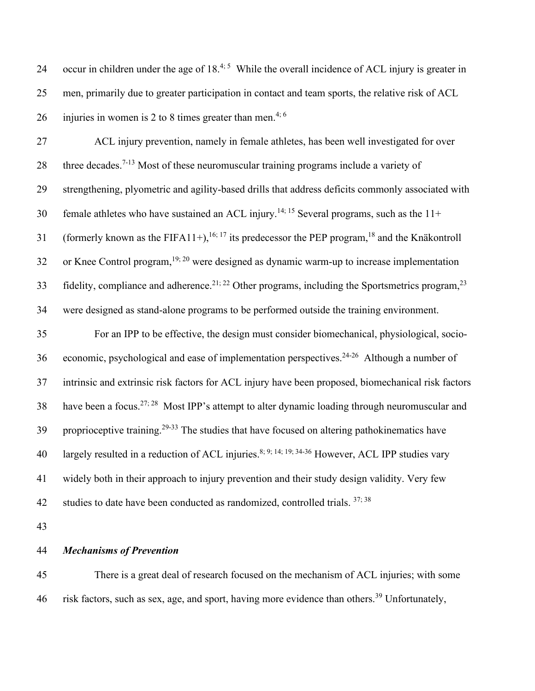| 24 | occur in children under the age of $18^{4.5}$ While the overall incidence of ACL injury is greater in |
|----|-------------------------------------------------------------------------------------------------------|
| 25 | men, primarily due to greater participation in contact and team sports, the relative risk of ACL      |
| 26 | injuries in women is 2 to 8 times greater than men. <sup>4; 6</sup>                                   |

27 ACL injury prevention, namely in female athletes, has been well investigated for over 28 three decades.<sup>7-13</sup> Most of these neuromuscular training programs include a variety of 29 strengthening, plyometric and agility-based drills that address deficits commonly associated with 30 female athletes who have sustained an ACL injury.<sup>14; 15</sup> Several programs, such as the  $11+$ 31 (formerly known as the FIFA11+),<sup>16; 17</sup> its predecessor the PEP program,<sup>18</sup> and the Knäkontroll 32 or Knee Control program,  $19$ ;  $20$  were designed as dynamic warm-up to increase implementation 33 fidelity, compliance and adherence.<sup>21; 22</sup> Other programs, including the Sportsmetrics program,<sup>23</sup> 34 were designed as stand-alone programs to be performed outside the training environment. 35 For an IPP to be effective, the design must consider biomechanical, physiological, socio-36 economic, psychological and ease of implementation perspectives.<sup>24-26</sup> Although a number of

37 intrinsic and extrinsic risk factors for ACL injury have been proposed, biomechanical risk factors 38 have been a focus.<sup>27; 28</sup> Most IPP's attempt to alter dynamic loading through neuromuscular and 39 proprioceptive training.<sup>29-33</sup> The studies that have focused on altering pathokinematics have 40 largely resulted in a reduction of ACL injuries.<sup>8; 9; 14; 19; 34-36</sup> However, ACL IPP studies vary 41 widely both in their approach to injury prevention and their study design validity. Very few 42 studies to date have been conducted as randomized, controlled trials.  $37;38$ 

43

#### 44 *Mechanisms of Prevention*

45 There is a great deal of research focused on the mechanism of ACL injuries; with some 46 risk factors, such as sex, age, and sport, having more evidence than others.<sup>39</sup> Unfortunately,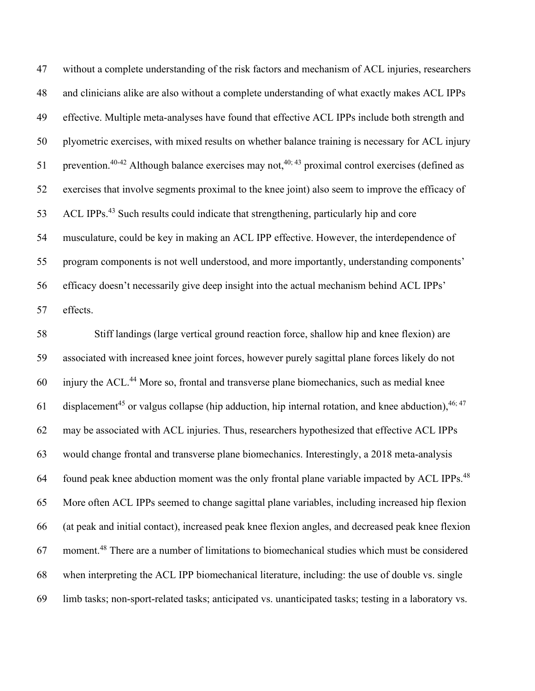without a complete understanding of the risk factors and mechanism of ACL injuries, researchers and clinicians alike are also without a complete understanding of what exactly makes ACL IPPs effective. Multiple meta-analyses have found that effective ACL IPPs include both strength and plyometric exercises, with mixed results on whether balance training is necessary for ACL injury 51 prevention.<sup>40-42</sup> Although balance exercises may not,<sup>40; 43</sup> proximal control exercises (defined as exercises that involve segments proximal to the knee joint) also seem to improve the efficacy of 53 ACL IPPs.<sup>43</sup> Such results could indicate that strengthening, particularly hip and core musculature, could be key in making an ACL IPP effective. However, the interdependence of program components is not well understood, and more importantly, understanding components' efficacy doesn't necessarily give deep insight into the actual mechanism behind ACL IPPs' effects.

 Stiff landings (large vertical ground reaction force, shallow hip and knee flexion) are associated with increased knee joint forces, however purely sagittal plane forces likely do not injury the ACL.<sup>44</sup> More so, frontal and transverse plane biomechanics, such as medial knee 61 displacement<sup>45</sup> or valgus collapse (hip adduction, hip internal rotation, and knee abduction),  $46;47$  may be associated with ACL injuries. Thus, researchers hypothesized that effective ACL IPPs would change frontal and transverse plane biomechanics. Interestingly, a 2018 meta-analysis found peak knee abduction moment was the only frontal plane variable impacted by ACL IPPs.<sup>48</sup> More often ACL IPPs seemed to change sagittal plane variables, including increased hip flexion (at peak and initial contact), increased peak knee flexion angles, and decreased peak knee flexion moment.<sup>48</sup> There are a number of limitations to biomechanical studies which must be considered when interpreting the ACL IPP biomechanical literature, including: the use of double vs. single limb tasks; non-sport-related tasks; anticipated vs. unanticipated tasks; testing in a laboratory vs.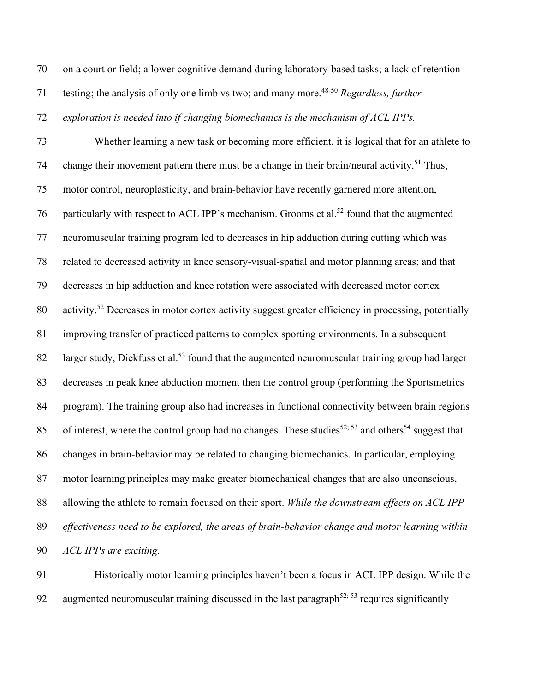on a court or field; a lower cognitive demand during laboratory-based tasks; a lack of retention

71 testing; the analysis of only one limb vs two; and many more.<sup>48-50</sup> *Regardless, further* 

*exploration is needed into if changing biomechanics is the mechanism of ACL IPPs.*

 Whether learning a new task or becoming more efficient, it is logical that for an athlete to 74 change their movement pattern there must be a change in their brain/neural activity.<sup>51</sup> Thus, motor control, neuroplasticity, and brain-behavior have recently garnered more attention, 76 particularly with respect to ACL IPP's mechanism. Grooms et al.<sup>52</sup> found that the augmented neuromuscular training program led to decreases in hip adduction during cutting which was related to decreased activity in knee sensory-visual-spatial and motor planning areas; and that decreases in hip adduction and knee rotation were associated with decreased motor cortex 80 activity.<sup>52</sup> Decreases in motor cortex activity suggest greater efficiency in processing, potentially improving transfer of practiced patterns to complex sporting environments. In a subsequent 82 larger study, Diekfuss et al.<sup>53</sup> found that the augmented neuromuscular training group had larger decreases in peak knee abduction moment then the control group (performing the Sportsmetrics program). The training group also had increases in functional connectivity between brain regions 85 of interest, where the control group had no changes. These studies<sup>52; 53</sup> and others<sup>54</sup> suggest that changes in brain-behavior may be related to changing biomechanics. In particular, employing motor learning principles may make greater biomechanical changes that are also unconscious, allowing the athlete to remain focused on their sport. *While the downstream effects on ACL IPP effectiveness need to be explored, the areas of brain-behavior change and motor learning within ACL IPPs are exciting.*

 Historically motor learning principles haven't been a focus in ACL IPP design. While the 92 augmented neuromuscular training discussed in the last paragraph<sup>52; 53</sup> requires significantly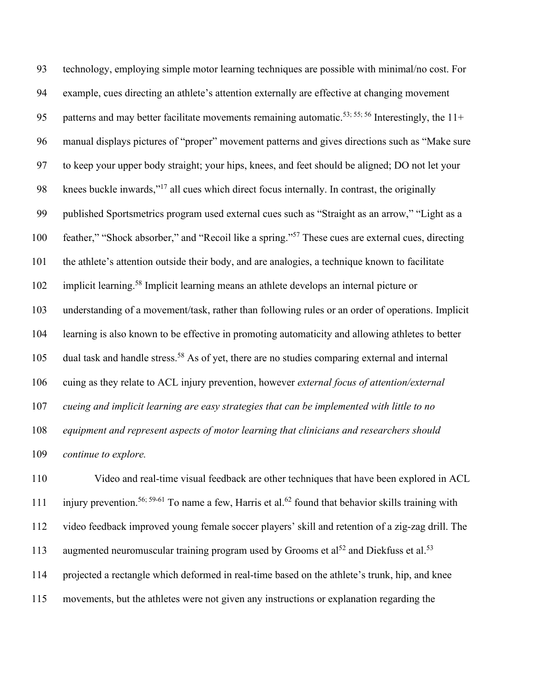technology, employing simple motor learning techniques are possible with minimal/no cost. For example, cues directing an athlete's attention externally are effective at changing movement 95 patterns and may better facilitate movements remaining automatic.<sup>53; 55; 56</sup> Interestingly, the  $11+$  manual displays pictures of "proper" movement patterns and gives directions such as "Make sure to keep your upper body straight; your hips, knees, and feet should be aligned; DO not let your 98 knees buckle inwards,"<sup>17</sup> all cues which direct focus internally. In contrast, the originally published Sportsmetrics program used external cues such as "Straight as an arrow," "Light as a 100 feather," "Shock absorber," and "Recoil like a spring."<sup>57</sup> These cues are external cues, directing the athlete's attention outside their body, and are analogies, a technique known to facilitate 102 implicit learning.<sup>58</sup> Implicit learning means an athlete develops an internal picture or understanding of a movement/task, rather than following rules or an order of operations. Implicit learning is also known to be effective in promoting automaticity and allowing athletes to better 105 dual task and handle stress.<sup>58</sup> As of yet, there are no studies comparing external and internal cuing as they relate to ACL injury prevention, however *external focus of attention/external cueing and implicit learning are easy strategies that can be implemented with little to no equipment and represent aspects of motor learning that clinicians and researchers should continue to explore.*

 Video and real-time visual feedback are other techniques that have been explored in ACL 111 injury prevention.<sup>56; 59-61</sup> To name a few, Harris et al.<sup>62</sup> found that behavior skills training with video feedback improved young female soccer players' skill and retention of a zig-zag drill. The 113 augmented neuromuscular training program used by Grooms et al<sup>52</sup> and Diekfuss et al.<sup>53</sup> projected a rectangle which deformed in real-time based on the athlete's trunk, hip, and knee movements, but the athletes were not given any instructions or explanation regarding the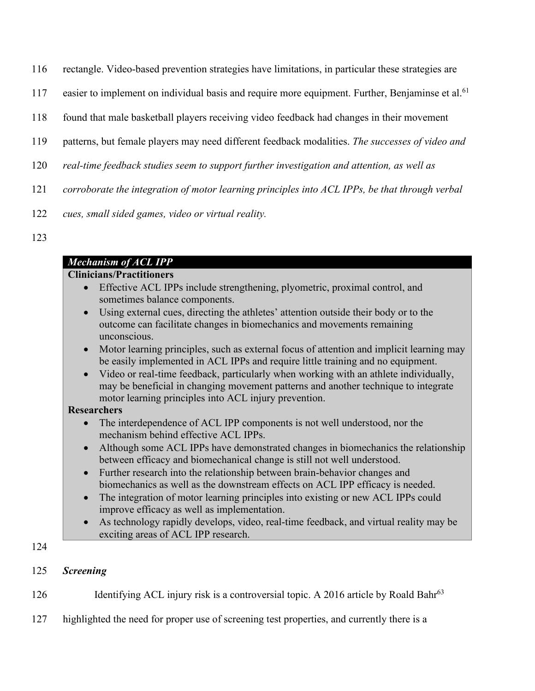- 116 rectangle. Video-based prevention strategies have limitations, in particular these strategies are
- 117 easier to implement on individual basis and require more equipment. Further, Benjaminse et al.<sup>61</sup>
- 118 found that male basketball players receiving video feedback had changes in their movement
- 119 patterns, but female players may need different feedback modalities. *The successes of video and*
- 120 *real-time feedback studies seem to support further investigation and attention, as well as*
- 121 *corroborate the integration of motor learning principles into ACL IPPs, be that through verbal*
- 122 *cues, small sided games, video or virtual reality.*
- 123

# *Mechanism of ACL IPP*

## **Clinicians/Practitioners**

- Effective ACL IPPs include strengthening, plyometric, proximal control, and sometimes balance components.
- Using external cues, directing the athletes' attention outside their body or to the outcome can facilitate changes in biomechanics and movements remaining unconscious.
- Motor learning principles, such as external focus of attention and implicit learning may be easily implemented in ACL IPPs and require little training and no equipment.
- Video or real-time feedback, particularly when working with an athlete individually, may be beneficial in changing movement patterns and another technique to integrate motor learning principles into ACL injury prevention.

## **Researchers**

- The interdependence of ACL IPP components is not well understood, nor the mechanism behind effective ACL IPPs.
- Although some ACL IPPs have demonstrated changes in biomechanics the relationship between efficacy and biomechanical change is still not well understood.
- Further research into the relationship between brain-behavior changes and biomechanics as well as the downstream effects on ACL IPP efficacy is needed.
- The integration of motor learning principles into existing or new ACL IPPs could improve efficacy as well as implementation.
- As technology rapidly develops, video, real-time feedback, and virtual reality may be exciting areas of ACL IPP research.

124

## 125 *Screening*

126 Identifying ACL injury risk is a controversial topic. A 2016 article by Roald Bahr<sup>63</sup>

127 highlighted the need for proper use of screening test properties, and currently there is a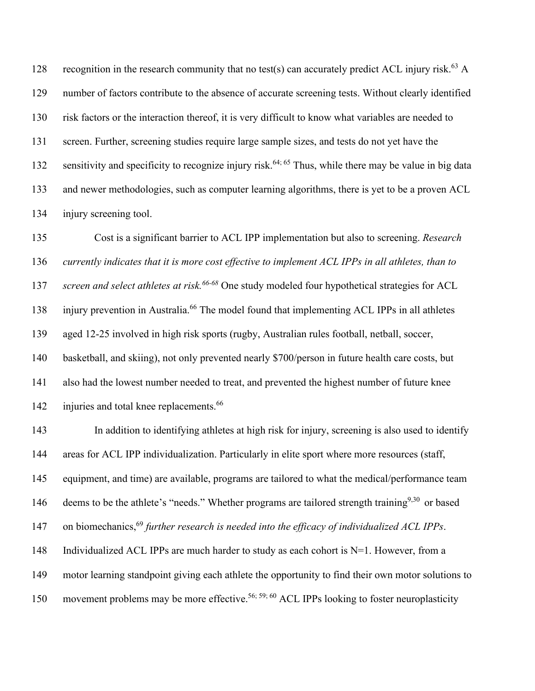128 recognition in the research community that no test(s) can accurately predict ACL injury risk.<sup>63</sup> A number of factors contribute to the absence of accurate screening tests. Without clearly identified risk factors or the interaction thereof, it is very difficult to know what variables are needed to screen. Further, screening studies require large sample sizes, and tests do not yet have the 132 sensitivity and specificity to recognize injury risk.<sup>64; 65</sup> Thus, while there may be value in big data and newer methodologies, such as computer learning algorithms, there is yet to be a proven ACL injury screening tool.

 Cost is a significant barrier to ACL IPP implementation but also to screening. *Research currently indicates that it is more cost effective to implement ACL IPPs in all athletes, than to*  137 screen and select athletes at risk.<sup>66-68</sup> One study modeled four hypothetical strategies for ACL 138 injury prevention in Australia.<sup>66</sup> The model found that implementing ACL IPPs in all athletes aged 12-25 involved in high risk sports (rugby, Australian rules football, netball, soccer, basketball, and skiing), not only prevented nearly \$700/person in future health care costs, but also had the lowest number needed to treat, and prevented the highest number of future knee 142 injuries and total knee replacements.<sup>66</sup>

143 In addition to identifying athletes at high risk for injury, screening is also used to identify 144 areas for ACL IPP individualization. Particularly in elite sport where more resources (staff, 145 equipment, and time) are available, programs are tailored to what the medical/performance team 146 deems to be the athlete's "needs." Whether programs are tailored strength training<sup>9,30</sup> or based 147 on biomechanics,<sup>69</sup> further research is needed into the efficacy of individualized ACL IPPs. 148 Individualized ACL IPPs are much harder to study as each cohort is  $N=1$ . However, from a 149 motor learning standpoint giving each athlete the opportunity to find their own motor solutions to 150 movement problems may be more effective.<sup>56; 59; 60</sup> ACL IPPs looking to foster neuroplasticity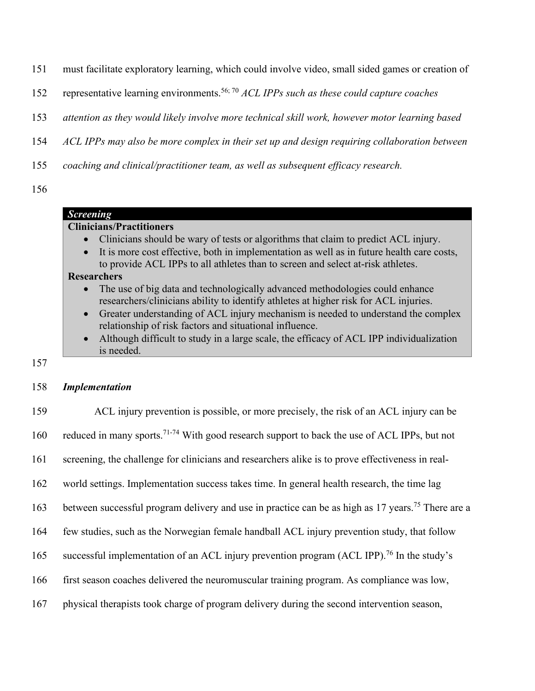- 151 must facilitate exploratory learning, which could involve video, small sided games or creation of
- 152 representative learning environments.<sup>56; 70</sup> ACL IPPs such as these could capture coaches
- 153 *attention as they would likely involve more technical skill work, however motor learning based*
- 154 *ACL IPPs may also be more complex in their set up and design requiring collaboration between*
- 155 *coaching and clinical/practitioner team, as well as subsequent efficacy research.*
- 156

## *Screening*

## **Clinicians/Practitioners**

- Clinicians should be wary of tests or algorithms that claim to predict ACL injury.
- It is more cost effective, both in implementation as well as in future health care costs, to provide ACL IPPs to all athletes than to screen and select at-risk athletes.

### **Researchers**

- The use of big data and technologically advanced methodologies could enhance researchers/clinicians ability to identify athletes at higher risk for ACL injuries.
- Greater understanding of ACL injury mechanism is needed to understand the complex relationship of risk factors and situational influence.
- Although difficult to study in a large scale, the efficacy of ACL IPP individualization is needed.
- 157

### 158 *Implementation*

 ACL injury prevention is possible, or more precisely, the risk of an ACL injury can be 160 reduced in many sports.<sup>71-74</sup> With good research support to back the use of ACL IPPs, but not screening, the challenge for clinicians and researchers alike is to prove effectiveness in real- world settings. Implementation success takes time. In general health research, the time lag 163 between successful program delivery and use in practice can be as high as 17 years.<sup>75</sup> There are a few studies, such as the Norwegian female handball ACL injury prevention study, that follow 165 successful implementation of an ACL injury prevention program (ACL IPP).<sup>76</sup> In the study's first season coaches delivered the neuromuscular training program. As compliance was low, physical therapists took charge of program delivery during the second intervention season,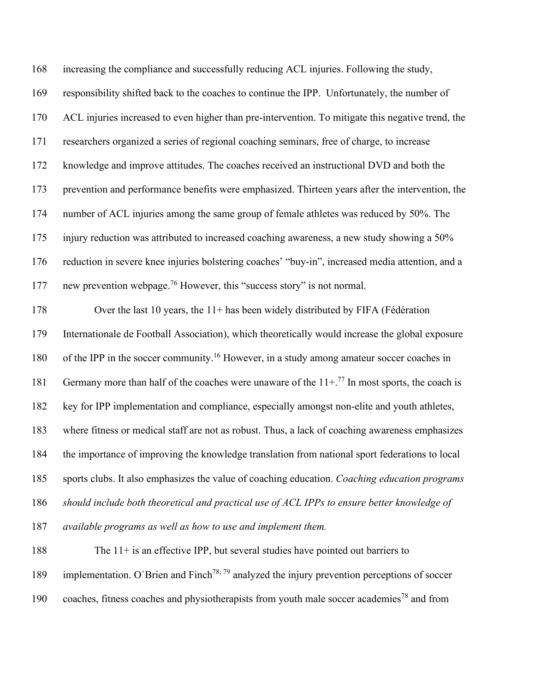increasing the compliance and successfully reducing ACL injuries. Following the study, responsibility shifted back to the coaches to continue the IPP. Unfortunately, the number of ACL injuries increased to even higher than pre-intervention. To mitigate this negative trend, the researchers organized a series of regional coaching seminars, free of charge, to increase knowledge and improve attitudes. The coaches received an instructional DVD and both the prevention and performance benefits were emphasized. Thirteen years after the intervention, the number of ACL injuries among the same group of female athletes was reduced by 50%. The injury reduction was attributed to increased coaching awareness, a new study showing a 50% reduction in severe knee injuries bolstering coaches' "buy-in", increased media attention, and a 177 new prevention webpage.<sup>76</sup> However, this "success story" is not normal. Over the last 10 years, the 11+ has been widely distributed by FIFA (Fédération Internationale de Football Association), which theoretically would increase the global exposure 180 of the IPP in the soccer community.<sup>16</sup> However, in a study among amateur soccer coaches in 181 Germany more than half of the coaches were unaware of the  $11 + .77$  In most sports, the coach is key for IPP implementation and compliance, especially amongst non-elite and youth athletes, where fitness or medical staff are not as robust. Thus, a lack of coaching awareness emphasizes the importance of improving the knowledge translation from national sport federations to local sports clubs. It also emphasizes the value of coaching education. *Coaching education programs should include both theoretical and practical use of ACL IPPs to ensure better knowledge of available programs as well as how to use and implement them.* The 11+ is an effective IPP, but several studies have pointed out barriers to 189 implementation. O`Brien and Finch<sup>78; 79</sup> analyzed the injury prevention perceptions of soccer

190 coaches, fitness coaches and physiotherapists from youth male soccer academies<sup>78</sup> and from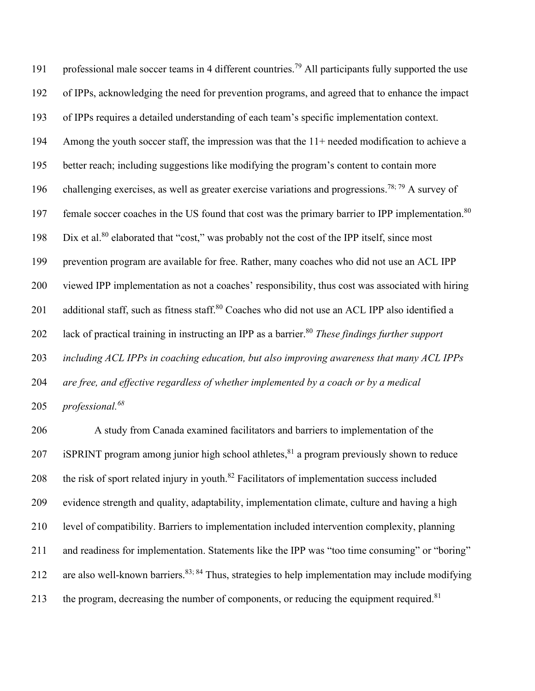191 professional male soccer teams in 4 different countries.<sup>79</sup> All participants fully supported the use of IPPs, acknowledging the need for prevention programs, and agreed that to enhance the impact of IPPs requires a detailed understanding of each team's specific implementation context. Among the youth soccer staff, the impression was that the 11+ needed modification to achieve a better reach; including suggestions like modifying the program's content to contain more 196 challenging exercises, as well as greater exercise variations and progressions.<sup>78; 79</sup> A survey of 197 female soccer coaches in the US found that cost was the primary barrier to IPP implementation.<sup>80</sup> 198 Dix et al.<sup>80</sup> elaborated that "cost," was probably not the cost of the IPP itself, since most prevention program are available for free. Rather, many coaches who did not use an ACL IPP viewed IPP implementation as not a coaches' responsibility, thus cost was associated with hiring 201 additional staff, such as fitness staff.<sup>80</sup> Coaches who did not use an ACL IPP also identified a lack of practical training in instructing an IPP as a barrier.80 *These findings further support including ACL IPPs in coaching education, but also improving awareness that many ACL IPPs are free, and effective regardless of whether implemented by a coach or by a medical professional.68*

 A study from Canada examined facilitators and barriers to implementation of the 207 iSPRINT program among junior high school athletes, a program previously shown to reduce 208 the risk of sport related injury in youth. $^{82}$  Facilitators of implementation success included evidence strength and quality, adaptability, implementation climate, culture and having a high level of compatibility. Barriers to implementation included intervention complexity, planning and readiness for implementation. Statements like the IPP was "too time consuming" or "boring" 212 are also well-known barriers.<sup>83; 84</sup> Thus, strategies to help implementation may include modifying 213 the program, decreasing the number of components, or reducing the equipment required.<sup>81</sup>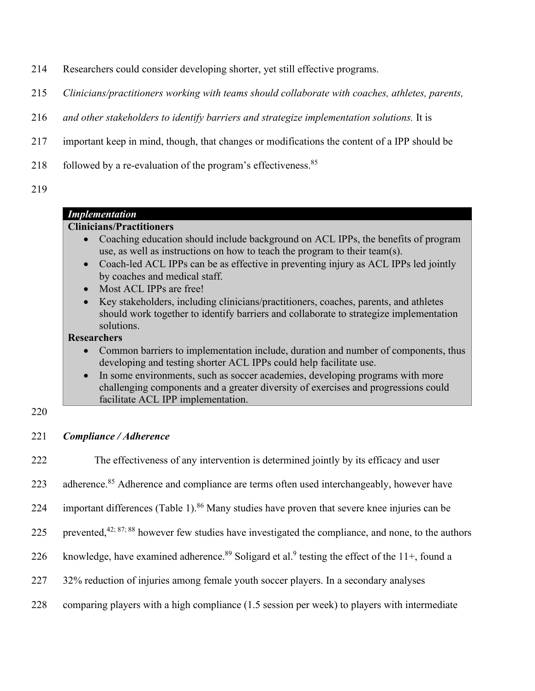- 214 Researchers could consider developing shorter, yet still effective programs.
- 215 *Clinicians/practitioners working with teams should collaborate with coaches, athletes, parents,*
- 216 *and other stakeholders to identify barriers and strategize implementation solutions.* It is
- 217 important keep in mind, though, that changes or modifications the content of a IPP should be
- 218 followed by a re-evaluation of the program's effectiveness.<sup>85</sup>
- 219

## *Implementation* **Clinicians/Practitioners** • Coaching education should include background on ACL IPPs, the benefits of program use, as well as instructions on how to teach the program to their team(s). • Coach-led ACL IPPs can be as effective in preventing injury as ACL IPPs led jointly by coaches and medical staff. • Most ACL IPPs are free!

• Key stakeholders, including clinicians/practitioners, coaches, parents, and athletes should work together to identify barriers and collaborate to strategize implementation solutions.

### **Researchers**

- Common barriers to implementation include, duration and number of components, thus developing and testing shorter ACL IPPs could help facilitate use.
- In some environments, such as soccer academies, developing programs with more challenging components and a greater diversity of exercises and progressions could facilitate ACL IPP implementation.

220

221 *Compliance / Adherence*

222 The effectiveness of any intervention is determined jointly by its efficacy and user 223 adherence.<sup>85</sup> Adherence and compliance are terms often used interchangeably, however have 224 important differences (Table 1). <sup>86</sup> Many studies have proven that severe knee injuries can be 225 prevented,<sup>42; 87; 88</sup> however few studies have investigated the compliance, and none, to the authors 226 knowledge, have examined adherence.<sup>89</sup> Soligard et al.<sup>9</sup> testing the effect of the 11+, found a 227 32% reduction of injuries among female youth soccer players. In a secondary analyses 228 comparing players with a high compliance (1.5 session per week) to players with intermediate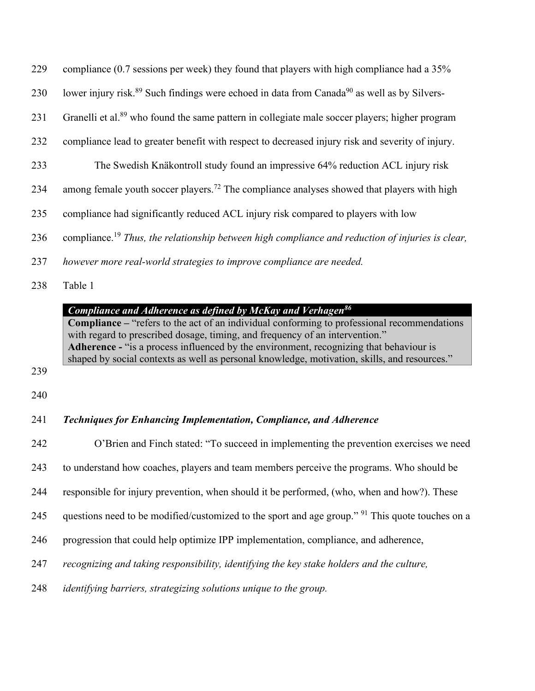| 229 | compliance (0.7 sessions per week) they found that players with high compliance had a 35%                           |
|-----|---------------------------------------------------------------------------------------------------------------------|
| 230 | lower injury risk. <sup>89</sup> Such findings were echoed in data from Canada <sup>90</sup> as well as by Silvers- |
| 231 | Granelli et al. <sup>89</sup> who found the same pattern in collegiate male soccer players; higher program          |
| 232 | compliance lead to greater benefit with respect to decreased injury risk and severity of injury.                    |
| 233 | The Swedish Knäkontroll study found an impressive 64% reduction ACL injury risk                                     |
| 234 | among female youth soccer players. <sup>72</sup> The compliance analyses showed that players with high              |
| 235 | compliance had significantly reduced ACL injury risk compared to players with low                                   |
| 236 | compliance. <sup>19</sup> Thus, the relationship between high compliance and reduction of injuries is clear,        |
| 237 | however more real-world strategies to improve compliance are needed.                                                |

Table 1

## *Compliance and Adherence as defined by McKay and Verhagen86*

**Compliance –** "refers to the act of an individual conforming to professional recommendations with regard to prescribed dosage, timing, and frequency of an intervention." **Adherence -** "is a process influenced by the environment, recognizing that behaviour is shaped by social contexts as well as personal knowledge, motivation, skills, and resources."

- 
- 

## *Techniques for Enhancing Implementation, Compliance, and Adherence*

 O'Brien and Finch stated: "To succeed in implementing the prevention exercises we need to understand how coaches, players and team members perceive the programs. Who should be responsible for injury prevention, when should it be performed, (who, when and how?). These 245 questions need to be modified/customized to the sport and age group." <sup>91</sup> This quote touches on a progression that could help optimize IPP implementation, compliance, and adherence, *recognizing and taking responsibility, identifying the key stake holders and the culture, identifying barriers, strategizing solutions unique to the group.*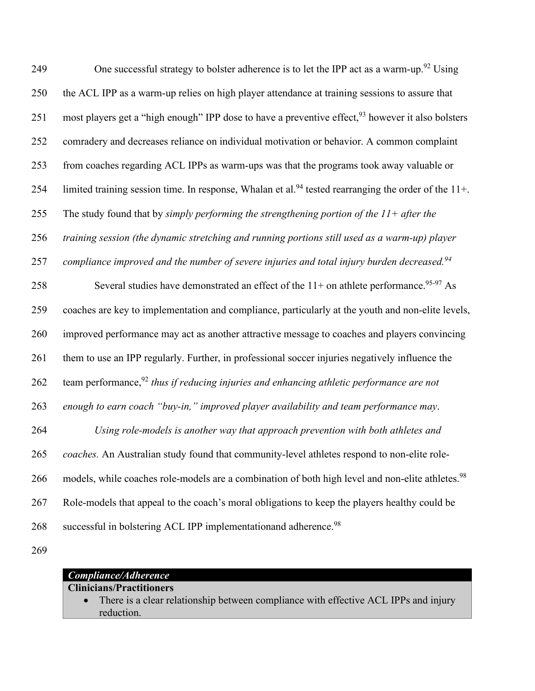249 One successful strategy to bolster adherence is to let the IPP act as a warm-up.<sup>92</sup> Using 250 the ACL IPP as a warm-up relies on high player attendance at training sessions to assure that 251 most players get a "high enough" IPP dose to have a preventive effect, <sup>93</sup> however it also bolsters 252 comradery and decreases reliance on individual motivation or behavior. A common complaint 253 from coaches regarding ACL IPPs as warm-ups was that the programs took away valuable or 254 limited training session time. In response, Whalan et al.<sup>94</sup> tested rearranging the order of the  $11+$ . 255 The study found that by *simply performing the strengthening portion of the 11+ after the*  256 *training session (the dynamic stretching and running portions still used as a warm-up) player*  257 compliance improved and the number of severe injuries and total injury burden decreased.<sup>94</sup> 258 Several studies have demonstrated an effect of the  $11+$  on athlete performance.<sup>95-97</sup> As 259 coaches are key to implementation and compliance, particularly at the youth and non-elite levels, 260 improved performance may act as another attractive message to coaches and players convincing 261 them to use an IPP regularly. Further, in professional soccer injuries negatively influence the 262 team performance,<sup>92</sup> thus if reducing injuries and enhancing athletic performance are not 263 *enough to earn coach "buy-in," improved player availability and team performance may*. 264 *Using role-models is another way that approach prevention with both athletes and*  265 *coaches.* An Australian study found that community-level athletes respond to non-elite role-266 models, while coaches role-models are a combination of both high level and non-elite athletes.<sup>98</sup> 267 Role-models that appeal to the coach's moral obligations to keep the players healthy could be 268 successful in bolstering ACL IPP implementationand adherence.<sup>98</sup>

269

| Compliance/Adherence            |                                                                                       |  |  |
|---------------------------------|---------------------------------------------------------------------------------------|--|--|
| <b>Clinicians/Practitioners</b> |                                                                                       |  |  |
|                                 | • There is a clear relationship between compliance with effective ACL IPPs and injury |  |  |
|                                 | reduction.                                                                            |  |  |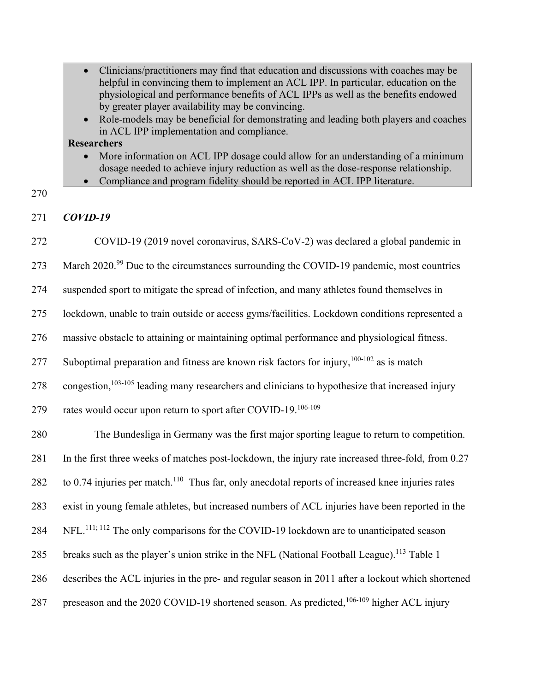| • Clinicians/practitioners may find that education and discussions with coaches may be |
|----------------------------------------------------------------------------------------|
| helpful in convincing them to implement an ACL IPP. In particular, education on the    |
| physiological and performance benefits of ACL IPPs as well as the benefits endowed     |
| by greater player availability may be convincing.                                      |

• Role-models may be beneficial for demonstrating and leading both players and coaches in ACL IPP implementation and compliance.

### **Researchers**

- More information on ACL IPP dosage could allow for an understanding of a minimum dosage needed to achieve injury reduction as well as the dose-response relationship.
- Compliance and program fidelity should be reported in ACL IPP literature.
- 270

### 271 *COVID-19*

272 COVID-19 (2019 novel coronavirus, SARS-CoV-2) was declared a global pandemic in

273 March  $2020.^{99}$  Due to the circumstances surrounding the COVID-19 pandemic, most countries

274 suspended sport to mitigate the spread of infection, and many athletes found themselves in

275 lockdown, unable to train outside or access gyms/facilities. Lockdown conditions represented a

276 massive obstacle to attaining or maintaining optimal performance and physiological fitness.

277 Suboptimal preparation and fitness are known risk factors for injury,  $100-102$  as is match

 $278$  congestion,<sup>103-105</sup> leading many researchers and clinicians to hypothesize that increased injury

279 rates would occur upon return to sport after COVID-19. $106-109$ 

280 The Bundesliga in Germany was the first major sporting league to return to competition.

281 In the first three weeks of matches post-lockdown, the injury rate increased three-fold, from 0.27

282 to 0.74 injuries per match.<sup>110</sup> Thus far, only anecdotal reports of increased knee injuries rates

283 exist in young female athletes, but increased numbers of ACL injuries have been reported in the

284 NFL.<sup>111; 112</sup> The only comparisons for the COVID-19 lockdown are to unanticipated season

285 breaks such as the player's union strike in the NFL (National Football League).<sup>113</sup> Table 1

286 describes the ACL injuries in the pre- and regular season in 2011 after a lockout which shortened

287 preseason and the 2020 COVID-19 shortened season. As predicted, $106-109$  higher ACL injury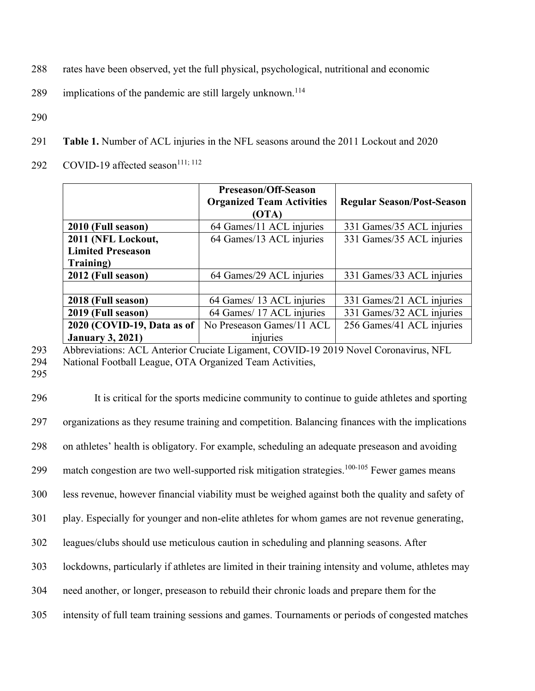- 288 rates have been observed, yet the full physical, psychological, nutritional and economic
- 289 implications of the pandemic are still largely unknown.<sup>114</sup>
- 290
- 291 **Table 1.** Number of ACL injuries in the NFL seasons around the 2011 Lockout and 2020
- 292 COVID-19 affected season $111; 112$

|                            | Preseason/Off-Season<br><b>Organized Team Activities</b> | <b>Regular Season/Post-Season</b> |
|----------------------------|----------------------------------------------------------|-----------------------------------|
|                            | (OTA)                                                    |                                   |
| 2010 (Full season)         | 64 Games/11 ACL injuries                                 | 331 Games/35 ACL injuries         |
| 2011 (NFL Lockout,         | 64 Games/13 ACL injuries                                 | 331 Games/35 ACL injuries         |
| <b>Limited Preseason</b>   |                                                          |                                   |
| Training)                  |                                                          |                                   |
| 2012 (Full season)         | 64 Games/29 ACL injuries                                 | 331 Games/33 ACL injuries         |
|                            |                                                          |                                   |
| 2018 (Full season)         | 64 Games/ 13 ACL injuries                                | 331 Games/21 ACL injuries         |
| 2019 (Full season)         | 64 Games/ 17 ACL injuries                                | 331 Games/32 ACL injuries         |
| 2020 (COVID-19, Data as of | No Preseason Games/11 ACL                                | 256 Games/41 ACL injuries         |
| <b>January 3, 2021)</b>    | injuries                                                 |                                   |

293 Abbreviations: ACL Anterior Cruciate Ligament, COVID-19 2019 Novel Coronavirus, NFL

- 294 National Football League, OTA Organized Team Activities,
- 295

 It is critical for the sports medicine community to continue to guide athletes and sporting organizations as they resume training and competition. Balancing finances with the implications on athletes' health is obligatory. For example, scheduling an adequate preseason and avoiding 299 match congestion are two well-supported risk mitigation strategies.<sup>100-105</sup> Fewer games means less revenue, however financial viability must be weighed against both the quality and safety of play. Especially for younger and non-elite athletes for whom games are not revenue generating, leagues/clubs should use meticulous caution in scheduling and planning seasons. After lockdowns, particularly if athletes are limited in their training intensity and volume, athletes may need another, or longer, preseason to rebuild their chronic loads and prepare them for the intensity of full team training sessions and games. Tournaments or periods of congested matches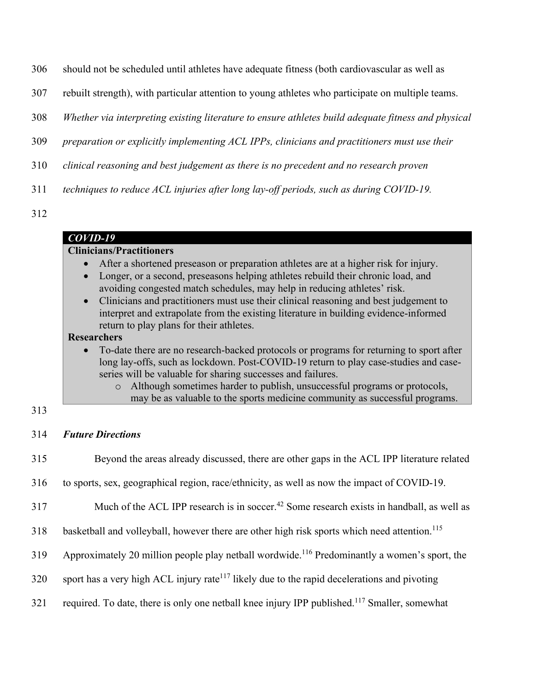- 306 should not be scheduled until athletes have adequate fitness (both cardiovascular as well as
- 307 rebuilt strength), with particular attention to young athletes who participate on multiple teams.
- 308 *Whether via interpreting existing literature to ensure athletes build adequate fitness and physical*
- 309 *preparation or explicitly implementing ACL IPPs, clinicians and practitioners must use their*
- 310 *clinical reasoning and best judgement as there is no precedent and no research proven*
- 311 *techniques to reduce ACL injuries after long lay-off periods, such as during COVID-19.*
- 312

### *COVID-19*

## **Clinicians/Practitioners**

- After a shortened preseason or preparation athletes are at a higher risk for injury.
- Longer, or a second, preseasons helping athletes rebuild their chronic load, and avoiding congested match schedules, may help in reducing athletes' risk.
- Clinicians and practitioners must use their clinical reasoning and best judgement to interpret and extrapolate from the existing literature in building evidence-informed return to play plans for their athletes.

## **Researchers**

- To-date there are no research-backed protocols or programs for returning to sport after long lay-offs, such as lockdown. Post-COVID-19 return to play case-studies and caseseries will be valuable for sharing successes and failures.
	- o Although sometimes harder to publish, unsuccessful programs or protocols, may be as valuable to the sports medicine community as successful programs.

### 313

### 314 *Future Directions*

- 315 Beyond the areas already discussed, there are other gaps in the ACL IPP literature related
- 316 to sports, sex, geographical region, race/ethnicity, as well as now the impact of COVID-19.
- $317$  Much of the ACL IPP research is in soccer.<sup>42</sup> Some research exists in handball, as well as
- 318 basketball and volleyball, however there are other high risk sports which need attention.<sup>115</sup>
- $319$  Approximately 20 million people play netball wordwide.<sup>116</sup> Predominantly a women's sport, the
- $320$  sport has a very high ACL injury rate<sup>117</sup> likely due to the rapid decelerations and pivoting
- 321 required. To date, there is only one netball knee injury IPP published.<sup>117</sup> Smaller, somewhat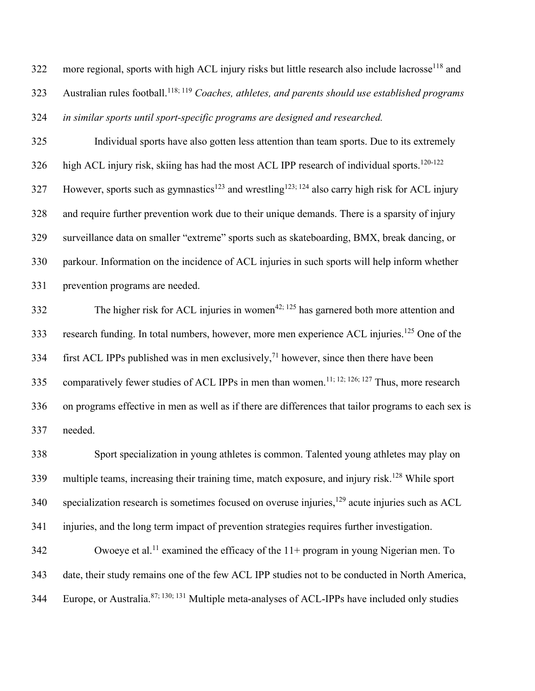more regional, sports with high ACL injury risks but little research also include lacrosse<sup>118</sup> and Australian rules football.118; 119 *Coaches, athletes, and parents should use established programs in similar sports until sport-specific programs are designed and researched.* 

 Individual sports have also gotten less attention than team sports. Due to its extremely  $\frac{120-122}{20}$  high ACL injury risk, skiing has had the most ACL IPP research of individual sports.<sup>120-122</sup> However, sports such as gymnastics<sup>123</sup> and wrestling<sup>123; 124</sup> also carry high risk for ACL injury and require further prevention work due to their unique demands. There is a sparsity of injury surveillance data on smaller "extreme" sports such as skateboarding, BMX, break dancing, or parkour. Information on the incidence of ACL injuries in such sports will help inform whether prevention programs are needed.

 The higher risk for ACL injuries in women<sup>42; 125</sup> has garnered both more attention and 333 research funding. In total numbers, however, more men experience ACL injuries.<sup>125</sup> One of the first ACL IPPs published was in men exclusively,<sup>71</sup> however, since then there have been 335 comparatively fewer studies of ACL IPPs in men than women.<sup>11; 12; 126; 127</sup> Thus, more research on programs effective in men as well as if there are differences that tailor programs to each sex is needed.

 Sport specialization in young athletes is common. Talented young athletes may play on multiple teams, increasing their training time, match exposure, and injury risk. <sup>128</sup> While sport specialization research is sometimes focused on overuse injuries,<sup>129</sup> acute injuries such as ACL injuries, and the long term impact of prevention strategies requires further investigation.

 Owoeye et al.<sup>11</sup> examined the efficacy of the  $11+$  program in young Nigerian men. To date, their study remains one of the few ACL IPP studies not to be conducted in North America, 344 Europe, or Australia.<sup>87; 130; 131</sup> Multiple meta-analyses of ACL-IPPs have included only studies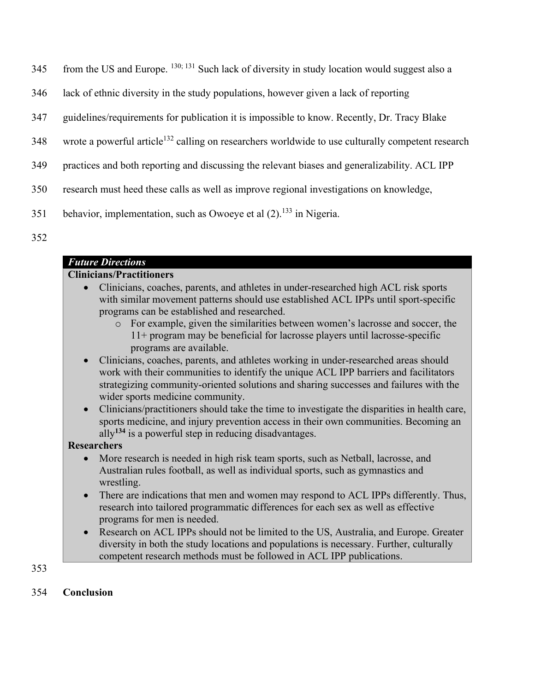- $345$  from the US and Europe.  $^{130; 131}$  Such lack of diversity in study location would suggest also a
- 346 lack of ethnic diversity in the study populations, however given a lack of reporting
- 347 guidelines/requirements for publication it is impossible to know. Recently, Dr. Tracy Blake
- 348 wrote a powerful article<sup>132</sup> calling on researchers worldwide to use culturally competent research
- 349 practices and both reporting and discussing the relevant biases and generalizability. ACL IPP
- 350 research must heed these calls as well as improve regional investigations on knowledge,
- 351 behavior, implementation, such as Owoeye et al  $(2)$ .<sup>133</sup> in Nigeria.
- 352

### *Future Directions*

## **Clinicians/Practitioners**

- Clinicians, coaches, parents, and athletes in under-researched high ACL risk sports with similar movement patterns should use established ACL IPPs until sport-specific programs can be established and researched.
	- o For example, given the similarities between women's lacrosse and soccer, the 11+ program may be beneficial for lacrosse players until lacrosse-specific programs are available.
- Clinicians, coaches, parents, and athletes working in under-researched areas should work with their communities to identify the unique ACL IPP barriers and facilitators strategizing community-oriented solutions and sharing successes and failures with the wider sports medicine community.
- Clinicians/practitioners should take the time to investigate the disparities in health care, sports medicine, and injury prevention access in their own communities. Becoming an ally**<sup>134</sup>** is a powerful step in reducing disadvantages.

### **Researchers**

- More research is needed in high risk team sports, such as Netball, lacrosse, and Australian rules football, as well as individual sports, such as gymnastics and wrestling.
- There are indications that men and women may respond to ACL IPPs differently. Thus, research into tailored programmatic differences for each sex as well as effective programs for men is needed.
- Research on ACL IPPs should not be limited to the US, Australia, and Europe. Greater diversity in both the study locations and populations is necessary. Further, culturally competent research methods must be followed in ACL IPP publications.

353

## 354 **Conclusion**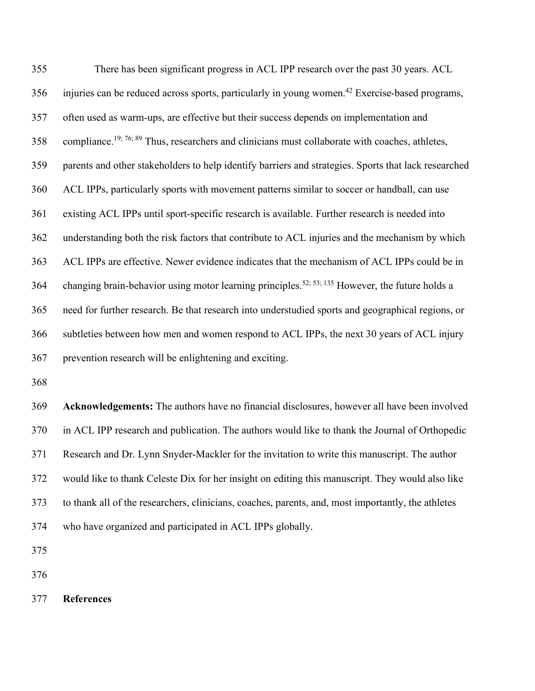There has been significant progress in ACL IPP research over the past 30 years. ACL injuries can be reduced across sports, particularly in young women.<sup>42</sup> Exercise-based programs, often used as warm-ups, are effective but their success depends on implementation and 358 compliance.<sup>19; 76; 89</sup> Thus, researchers and clinicians must collaborate with coaches, athletes, parents and other stakeholders to help identify barriers and strategies. Sports that lack researched ACL IPPs, particularly sports with movement patterns similar to soccer or handball, can use existing ACL IPPs until sport-specific research is available. Further research is needed into understanding both the risk factors that contribute to ACL injuries and the mechanism by which ACL IPPs are effective. Newer evidence indicates that the mechanism of ACL IPPs could be in 364 changing brain-behavior using motor learning principles.<sup>52; 53; 135</sup> However, the future holds a need for further research. Be that research into understudied sports and geographical regions, or subtleties between how men and women respond to ACL IPPs, the next 30 years of ACL injury prevention research will be enlightening and exciting.

 **Acknowledgements:** The authors have no financial disclosures, however all have been involved in ACL IPP research and publication. The authors would like to thank the Journal of Orthopedic Research and Dr. Lynn Snyder-Mackler for the invitation to write this manuscript. The author would like to thank Celeste Dix for her insight on editing this manuscript. They would also like to thank all of the researchers, clinicians, coaches, parents, and, most importantly, the athletes who have organized and participated in ACL IPPs globally.

**References**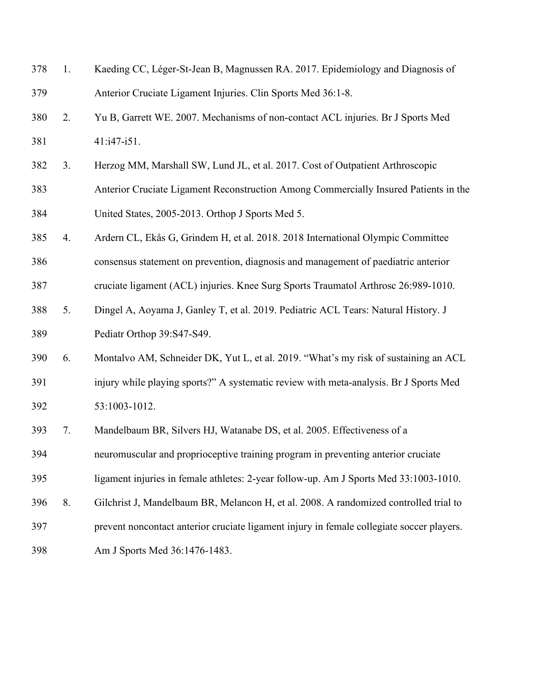| 378 | 1. | Kaeding CC, Léger-St-Jean B, Magnussen RA. 2017. Epidemiology and Diagnosis of            |
|-----|----|-------------------------------------------------------------------------------------------|
| 379 |    | Anterior Cruciate Ligament Injuries. Clin Sports Med 36:1-8.                              |
| 380 | 2. | Yu B, Garrett WE. 2007. Mechanisms of non-contact ACL injuries. Br J Sports Med           |
| 381 |    | $41: i47 - i51.$                                                                          |
| 382 | 3. | Herzog MM, Marshall SW, Lund JL, et al. 2017. Cost of Outpatient Arthroscopic             |
| 383 |    | Anterior Cruciate Ligament Reconstruction Among Commercially Insured Patients in the      |
| 384 |    | United States, 2005-2013. Orthop J Sports Med 5.                                          |
| 385 | 4. | Ardern CL, Ekås G, Grindem H, et al. 2018. 2018 International Olympic Committee           |
| 386 |    | consensus statement on prevention, diagnosis and management of paediatric anterior        |
| 387 |    | cruciate ligament (ACL) injuries. Knee Surg Sports Traumatol Arthrosc 26:989-1010.        |
| 388 | 5. | Dingel A, Aoyama J, Ganley T, et al. 2019. Pediatric ACL Tears: Natural History. J        |
| 389 |    | Pediatr Orthop 39:S47-S49.                                                                |
| 390 | 6. | Montalvo AM, Schneider DK, Yut L, et al. 2019. "What's my risk of sustaining an ACL       |
| 391 |    | injury while playing sports?" A systematic review with meta-analysis. Br J Sports Med     |
| 392 |    | 53:1003-1012.                                                                             |
| 393 | 7. | Mandelbaum BR, Silvers HJ, Watanabe DS, et al. 2005. Effectiveness of a                   |
| 394 |    | neuromuscular and proprioceptive training program in preventing anterior cruciate         |
| 395 |    | ligament injuries in female athletes: 2-year follow-up. Am J Sports Med 33:1003-1010.     |
| 396 | 8. | Gilchrist J, Mandelbaum BR, Melancon H, et al. 2008. A randomized controlled trial to     |
| 397 |    | prevent noncontact anterior cruciate ligament injury in female collegiate soccer players. |
| 398 |    | Am J Sports Med 36:1476-1483.                                                             |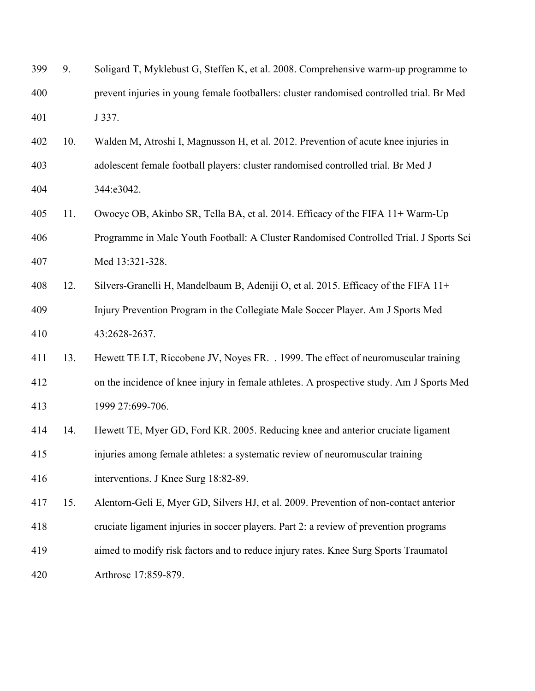| 399 | 9.  | Soligard T, Myklebust G, Steffen K, et al. 2008. Comprehensive warm-up programme to       |
|-----|-----|-------------------------------------------------------------------------------------------|
| 400 |     | prevent injuries in young female footballers: cluster randomised controlled trial. Br Med |
| 401 |     | J 337.                                                                                    |
| 402 | 10. | Walden M, Atroshi I, Magnusson H, et al. 2012. Prevention of acute knee injuries in       |
| 403 |     | adolescent female football players: cluster randomised controlled trial. Br Med J         |
| 404 |     | 344:e3042.                                                                                |
| 405 | 11. | Owoeye OB, Akinbo SR, Tella BA, et al. 2014. Efficacy of the FIFA 11+ Warm-Up             |
| 406 |     | Programme in Male Youth Football: A Cluster Randomised Controlled Trial. J Sports Sci     |
| 407 |     | Med 13:321-328.                                                                           |
| 408 | 12. | Silvers-Granelli H, Mandelbaum B, Adeniji O, et al. 2015. Efficacy of the FIFA 11+        |
| 409 |     | Injury Prevention Program in the Collegiate Male Soccer Player. Am J Sports Med           |
| 410 |     | 43:2628-2637.                                                                             |
| 411 | 13. | Hewett TE LT, Riccobene JV, Noyes FR. . 1999. The effect of neuromuscular training        |
| 412 |     | on the incidence of knee injury in female athletes. A prospective study. Am J Sports Med  |
| 413 |     | 1999 27:699-706.                                                                          |
| 414 | 14. | Hewett TE, Myer GD, Ford KR. 2005. Reducing knee and anterior cruciate ligament           |
| 415 |     | injuries among female athletes: a systematic review of neuromuscular training             |
| 416 |     | interventions. J Knee Surg 18:82-89.                                                      |
| 417 | 15. | Alentorn-Geli E, Myer GD, Silvers HJ, et al. 2009. Prevention of non-contact anterior     |
| 418 |     | cruciate ligament injuries in soccer players. Part 2: a review of prevention programs     |
| 419 |     | aimed to modify risk factors and to reduce injury rates. Knee Surg Sports Traumatol       |
| 420 |     | Arthrosc 17:859-879.                                                                      |
|     |     |                                                                                           |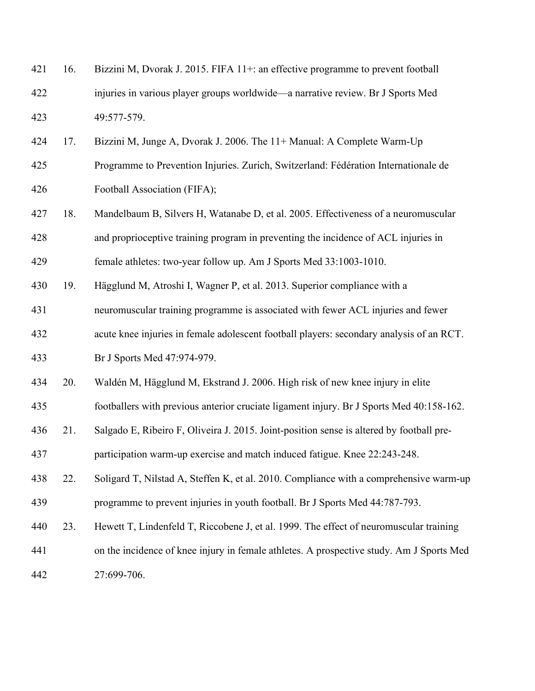| 421 | 16. | Bizzini M, Dvorak J. 2015. FIFA 11+: an effective programme to prevent football          |
|-----|-----|------------------------------------------------------------------------------------------|
| 422 |     | injuries in various player groups worldwide—a narrative review. Br J Sports Med          |
| 423 |     | 49:577-579.                                                                              |
| 424 | 17. | Bizzini M, Junge A, Dvorak J. 2006. The 11+ Manual: A Complete Warm-Up                   |
| 425 |     | Programme to Prevention Injuries. Zurich, Switzerland: Fédération Internationale de      |
| 426 |     | Football Association (FIFA);                                                             |
| 427 | 18. | Mandelbaum B, Silvers H, Watanabe D, et al. 2005. Effectiveness of a neuromuscular       |
| 428 |     | and proprioceptive training program in preventing the incidence of ACL injuries in       |
| 429 |     | female athletes: two-year follow up. Am J Sports Med 33:1003-1010.                       |
| 430 | 19. | Hägglund M, Atroshi I, Wagner P, et al. 2013. Superior compliance with a                 |
| 431 |     | neuromuscular training programme is associated with fewer ACL injuries and fewer         |
| 432 |     | acute knee injuries in female adolescent football players: secondary analysis of an RCT. |
| 433 |     | Br J Sports Med 47:974-979.                                                              |
| 434 | 20. | Waldén M, Hägglund M, Ekstrand J. 2006. High risk of new knee injury in elite            |
| 435 |     | footballers with previous anterior cruciate ligament injury. Br J Sports Med 40:158-162. |
| 436 | 21. | Salgado E, Ribeiro F, Oliveira J. 2015. Joint-position sense is altered by football pre- |
| 437 |     | participation warm-up exercise and match induced fatigue. Knee 22:243-248.               |
| 438 | 22. | Soligard T, Nilstad A, Steffen K, et al. 2010. Compliance with a comprehensive warm-up   |
| 439 |     | programme to prevent injuries in youth football. Br J Sports Med 44:787-793.             |
| 440 | 23. | Hewett T, Lindenfeld T, Riccobene J, et al. 1999. The effect of neuromuscular training   |
| 441 |     | on the incidence of knee injury in female athletes. A prospective study. Am J Sports Med |
| 442 |     | 27:699-706.                                                                              |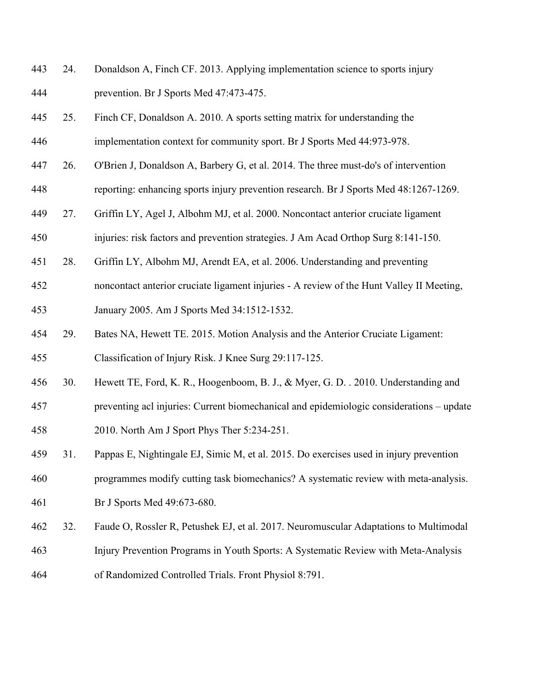- 24. Donaldson A, Finch CF. 2013. Applying implementation science to sports injury prevention. Br J Sports Med 47:473-475.
- 25. Finch CF, Donaldson A. 2010. A sports setting matrix for understanding the implementation context for community sport. Br J Sports Med 44:973-978.
- 26. O'Brien J, Donaldson A, Barbery G, et al. 2014. The three must-do's of intervention
- reporting: enhancing sports injury prevention research. Br J Sports Med 48:1267-1269.
- 27. Griffin LY, Agel J, Albohm MJ, et al. 2000. Noncontact anterior cruciate ligament
- injuries: risk factors and prevention strategies. J Am Acad Orthop Surg 8:141-150.
- 28. Griffin LY, Albohm MJ, Arendt EA, et al. 2006. Understanding and preventing
- noncontact anterior cruciate ligament injuries A review of the Hunt Valley II Meeting, January 2005. Am J Sports Med 34:1512-1532.
- 29. Bates NA, Hewett TE. 2015. Motion Analysis and the Anterior Cruciate Ligament: Classification of Injury Risk. J Knee Surg 29:117-125.
- 30. Hewett TE, Ford, K. R., Hoogenboom, B. J., & Myer, G. D. . 2010. Understanding and
- preventing acl injuries: Current biomechanical and epidemiologic considerations update
- 2010. North Am J Sport Phys Ther 5:234-251.
- 31. Pappas E, Nightingale EJ, Simic M, et al. 2015. Do exercises used in injury prevention

programmes modify cutting task biomechanics? A systematic review with meta-analysis.

- Br J Sports Med 49:673-680.
- 32. Faude O, Rossler R, Petushek EJ, et al. 2017. Neuromuscular Adaptations to Multimodal
- Injury Prevention Programs in Youth Sports: A Systematic Review with Meta-Analysis
- of Randomized Controlled Trials. Front Physiol 8:791.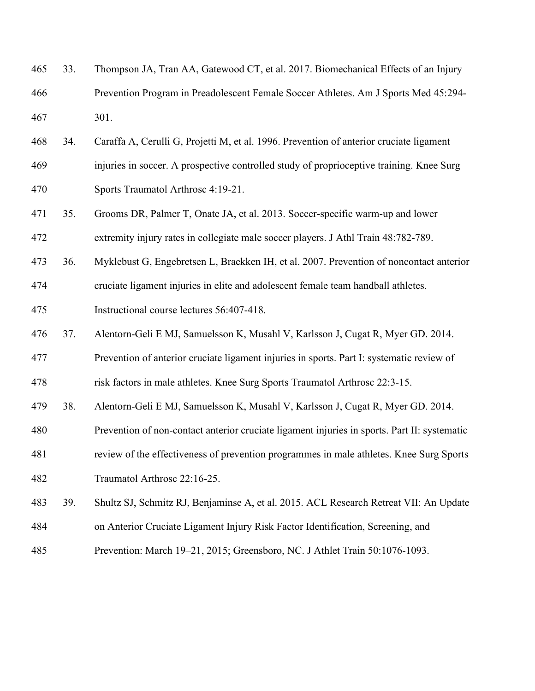| 465 | 33. | Thompson JA, Tran AA, Gatewood CT, et al. 2017. Biomechanical Effects of an Injury           |
|-----|-----|----------------------------------------------------------------------------------------------|
| 466 |     | Prevention Program in Preadolescent Female Soccer Athletes. Am J Sports Med 45:294-          |
| 467 |     | 301.                                                                                         |
| 468 | 34. | Caraffa A, Cerulli G, Projetti M, et al. 1996. Prevention of anterior cruciate ligament      |
| 469 |     | injuries in soccer. A prospective controlled study of proprioceptive training. Knee Surg     |
| 470 |     | Sports Traumatol Arthrosc 4:19-21.                                                           |
| 471 | 35. | Grooms DR, Palmer T, Onate JA, et al. 2013. Soccer-specific warm-up and lower                |
| 472 |     | extremity injury rates in collegiate male soccer players. J Athl Train 48:782-789.           |
| 473 | 36. | Myklebust G, Engebretsen L, Braekken IH, et al. 2007. Prevention of noncontact anterior      |
| 474 |     | cruciate ligament injuries in elite and adolescent female team handball athletes.            |
| 475 |     | Instructional course lectures 56:407-418.                                                    |
| 476 | 37. | Alentorn-Geli E MJ, Samuelsson K, Musahl V, Karlsson J, Cugat R, Myer GD. 2014.              |
| 477 |     | Prevention of anterior cruciate ligament injuries in sports. Part I: systematic review of    |
| 478 |     | risk factors in male athletes. Knee Surg Sports Traumatol Arthrosc 22:3-15.                  |
| 479 | 38. | Alentorn-Geli E MJ, Samuelsson K, Musahl V, Karlsson J, Cugat R, Myer GD. 2014.              |
| 480 |     | Prevention of non-contact anterior cruciate ligament injuries in sports. Part II: systematic |
| 481 |     | review of the effectiveness of prevention programmes in male athletes. Knee Surg Sports      |
| 482 |     | Traumatol Arthrosc 22:16-25.                                                                 |
| 483 | 39. | Shultz SJ, Schmitz RJ, Benjaminse A, et al. 2015. ACL Research Retreat VII: An Update        |
| 484 |     | on Anterior Cruciate Ligament Injury Risk Factor Identification, Screening, and              |
|     |     |                                                                                              |

Prevention: March 19–21, 2015; Greensboro, NC. J Athlet Train 50:1076-1093.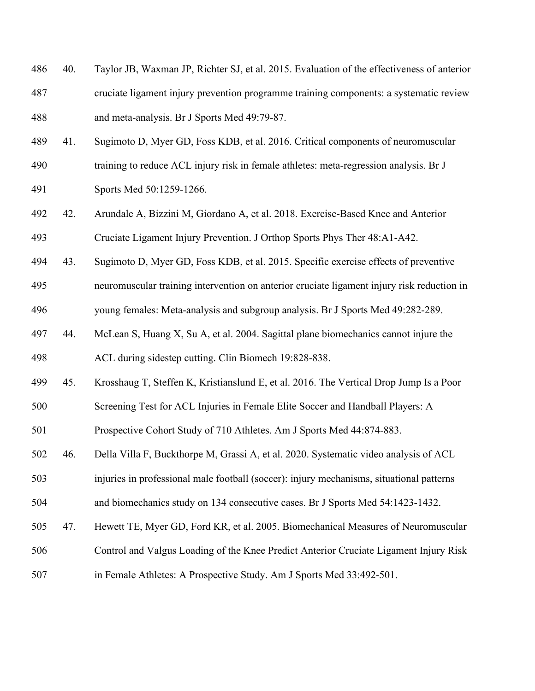| 486 | 40. | Taylor JB, Waxman JP, Richter SJ, et al. 2015. Evaluation of the effectiveness of anterior |
|-----|-----|--------------------------------------------------------------------------------------------|
| 487 |     | cruciate ligament injury prevention programme training components: a systematic review     |
| 488 |     | and meta-analysis. Br J Sports Med 49:79-87.                                               |
| 489 | 41. | Sugimoto D, Myer GD, Foss KDB, et al. 2016. Critical components of neuromuscular           |
| 490 |     | training to reduce ACL injury risk in female athletes: meta-regression analysis. Br J      |
| 491 |     | Sports Med 50:1259-1266.                                                                   |
| 492 | 42. | Arundale A, Bizzini M, Giordano A, et al. 2018. Exercise-Based Knee and Anterior           |
| 493 |     | Cruciate Ligament Injury Prevention. J Orthop Sports Phys Ther 48:A1-A42.                  |
| 494 | 43. | Sugimoto D, Myer GD, Foss KDB, et al. 2015. Specific exercise effects of preventive        |
| 495 |     | neuromuscular training intervention on anterior cruciate ligament injury risk reduction in |
| 496 |     | young females: Meta-analysis and subgroup analysis. Br J Sports Med 49:282-289.            |
| 497 | 44. | McLean S, Huang X, Su A, et al. 2004. Sagittal plane biomechanics cannot injure the        |
| 498 |     | ACL during sidestep cutting. Clin Biomech 19:828-838.                                      |
| 499 | 45. | Krosshaug T, Steffen K, Kristianslund E, et al. 2016. The Vertical Drop Jump Is a Poor     |
| 500 |     | Screening Test for ACL Injuries in Female Elite Soccer and Handball Players: A             |
| 501 |     | Prospective Cohort Study of 710 Athletes. Am J Sports Med 44:874-883.                      |
| 502 | 46. | Della Villa F, Buckthorpe M, Grassi A, et al. 2020. Systematic video analysis of ACL       |
| 503 |     | injuries in professional male football (soccer): injury mechanisms, situational patterns   |
| 504 |     | and biomechanics study on 134 consecutive cases. Br J Sports Med 54:1423-1432.             |
| 505 | 47. | Hewett TE, Myer GD, Ford KR, et al. 2005. Biomechanical Measures of Neuromuscular          |
| 506 |     | Control and Valgus Loading of the Knee Predict Anterior Cruciate Ligament Injury Risk      |
| 507 |     | in Female Athletes: A Prospective Study. Am J Sports Med 33:492-501.                       |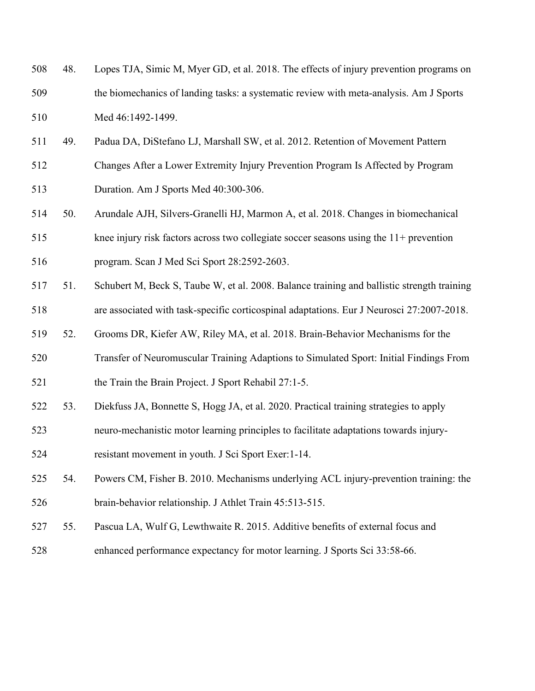| 508 | 48. | Lopes TJA, Simic M, Myer GD, et al. 2018. The effects of injury prevention programs on     |
|-----|-----|--------------------------------------------------------------------------------------------|
| 509 |     | the biomechanics of landing tasks: a systematic review with meta-analysis. Am J Sports     |
| 510 |     | Med 46:1492-1499.                                                                          |
| 511 | 49. | Padua DA, DiStefano LJ, Marshall SW, et al. 2012. Retention of Movement Pattern            |
| 512 |     | Changes After a Lower Extremity Injury Prevention Program Is Affected by Program           |
| 513 |     | Duration. Am J Sports Med 40:300-306.                                                      |
| 514 | 50. | Arundale AJH, Silvers-Granelli HJ, Marmon A, et al. 2018. Changes in biomechanical         |
| 515 |     | knee injury risk factors across two collegiate soccer seasons using the $11+$ prevention   |
| 516 |     | program. Scan J Med Sci Sport 28:2592-2603.                                                |
| 517 | 51. | Schubert M, Beck S, Taube W, et al. 2008. Balance training and ballistic strength training |
| 518 |     | are associated with task-specific corticospinal adaptations. Eur J Neurosci 27:2007-2018.  |
| 519 | 52. | Grooms DR, Kiefer AW, Riley MA, et al. 2018. Brain-Behavior Mechanisms for the             |
| 520 |     | Transfer of Neuromuscular Training Adaptions to Simulated Sport: Initial Findings From     |
| 521 |     | the Train the Brain Project. J Sport Rehabil 27:1-5.                                       |
| 522 | 53. | Diekfuss JA, Bonnette S, Hogg JA, et al. 2020. Practical training strategies to apply      |
| 523 |     | neuro-mechanistic motor learning principles to facilitate adaptations towards injury-      |
| 524 |     | resistant movement in youth. J Sci Sport Exer: 1-14.                                       |
| 525 | 54. | Powers CM, Fisher B. 2010. Mechanisms underlying ACL injury-prevention training: the       |
| 526 |     | brain-behavior relationship. J Athlet Train 45:513-515.                                    |

- 55. Pascua LA, Wulf G, Lewthwaite R. 2015. Additive benefits of external focus and
- enhanced performance expectancy for motor learning. J Sports Sci 33:58-66.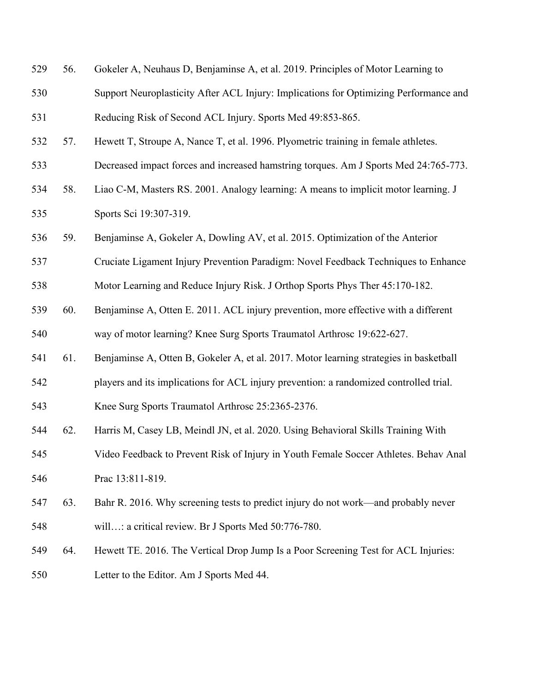| 529 | 56. | Gokeler A, Neuhaus D, Benjaminse A, et al. 2019. Principles of Motor Learning to       |
|-----|-----|----------------------------------------------------------------------------------------|
| 530 |     | Support Neuroplasticity After ACL Injury: Implications for Optimizing Performance and  |
| 531 |     | Reducing Risk of Second ACL Injury. Sports Med 49:853-865.                             |
| 532 | 57. | Hewett T, Stroupe A, Nance T, et al. 1996. Plyometric training in female athletes.     |
| 533 |     | Decreased impact forces and increased hamstring torques. Am J Sports Med 24:765-773.   |
| 534 | 58. | Liao C-M, Masters RS. 2001. Analogy learning: A means to implicit motor learning. J    |
| 535 |     | Sports Sci 19:307-319.                                                                 |
| 536 | 59. | Benjaminse A, Gokeler A, Dowling AV, et al. 2015. Optimization of the Anterior         |
| 537 |     | Cruciate Ligament Injury Prevention Paradigm: Novel Feedback Techniques to Enhance     |
| 538 |     | Motor Learning and Reduce Injury Risk. J Orthop Sports Phys Ther 45:170-182.           |
| 539 | 60. | Benjaminse A, Otten E. 2011. ACL injury prevention, more effective with a different    |
| 540 |     | way of motor learning? Knee Surg Sports Traumatol Arthrosc 19:622-627.                 |
| 541 | 61. | Benjaminse A, Otten B, Gokeler A, et al. 2017. Motor learning strategies in basketball |
| 542 |     | players and its implications for ACL injury prevention: a randomized controlled trial. |
| 543 |     | Knee Surg Sports Traumatol Arthrosc 25:2365-2376.                                      |
| 544 | 62. | Harris M, Casey LB, Meindl JN, et al. 2020. Using Behavioral Skills Training With      |
| 545 |     | Video Feedback to Prevent Risk of Injury in Youth Female Soccer Athletes. Behav Anal   |
| 546 |     | Prac 13:811-819.                                                                       |
| 547 | 63. | Bahr R. 2016. Why screening tests to predict injury do not work—and probably never     |
| 548 |     | will: a critical review. Br J Sports Med 50:776-780.                                   |
| 549 | 64. | Hewett TE. 2016. The Vertical Drop Jump Is a Poor Screening Test for ACL Injuries:     |
| 550 |     | Letter to the Editor. Am J Sports Med 44.                                              |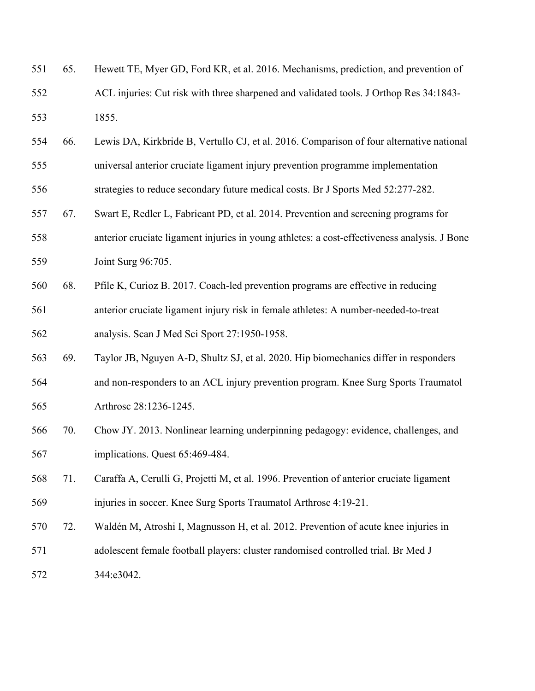| 551 | 65. | Hewett TE, Myer GD, Ford KR, et al. 2016. Mechanisms, prediction, and prevention of          |
|-----|-----|----------------------------------------------------------------------------------------------|
| 552 |     | ACL injuries: Cut risk with three sharpened and validated tools. J Orthop Res 34:1843-       |
| 553 |     | 1855.                                                                                        |
| 554 | 66. | Lewis DA, Kirkbride B, Vertullo CJ, et al. 2016. Comparison of four alternative national     |
| 555 |     | universal anterior cruciate ligament injury prevention programme implementation              |
| 556 |     | strategies to reduce secondary future medical costs. Br J Sports Med 52:277-282.             |
| 557 | 67. | Swart E, Redler L, Fabricant PD, et al. 2014. Prevention and screening programs for          |
| 558 |     | anterior cruciate ligament injuries in young athletes: a cost-effectiveness analysis. J Bone |
| 559 |     | Joint Surg 96:705.                                                                           |
| 560 | 68. | Pfile K, Curioz B. 2017. Coach-led prevention programs are effective in reducing             |
| 561 |     | anterior cruciate ligament injury risk in female athletes: A number-needed-to-treat          |
| 562 |     | analysis. Scan J Med Sci Sport 27:1950-1958.                                                 |
| 563 | 69. | Taylor JB, Nguyen A-D, Shultz SJ, et al. 2020. Hip biomechanics differ in responders         |
| 564 |     | and non-responders to an ACL injury prevention program. Knee Surg Sports Traumatol           |
| 565 |     | Arthrosc 28:1236-1245.                                                                       |
| 566 | 70. | Chow JY. 2013. Nonlinear learning underpinning pedagogy: evidence, challenges, and           |
| 567 |     | implications. Quest 65:469-484.                                                              |
| 568 | 71. | Caraffa A, Cerulli G, Projetti M, et al. 1996. Prevention of anterior cruciate ligament      |
| 569 |     | injuries in soccer. Knee Surg Sports Traumatol Arthrosc 4:19-21.                             |
| 570 | 72. | Waldén M, Atroshi I, Magnusson H, et al. 2012. Prevention of acute knee injuries in          |
| 571 |     | adolescent female football players: cluster randomised controlled trial. Br Med J            |
| 572 |     | 344:e3042.                                                                                   |
|     |     |                                                                                              |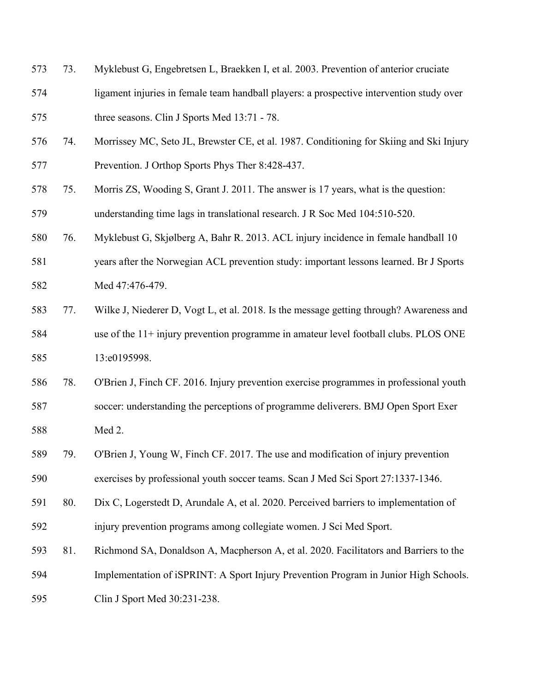- 73. Myklebust G, Engebretsen L, Braekken I, et al. 2003. Prevention of anterior cruciate
- ligament injuries in female team handball players: a prospective intervention study over three seasons. Clin J Sports Med 13:71 - 78.
- 74. Morrissey MC, Seto JL, Brewster CE, et al. 1987. Conditioning for Skiing and Ski Injury Prevention. J Orthop Sports Phys Ther 8:428-437.
- 75. Morris ZS, Wooding S, Grant J. 2011. The answer is 17 years, what is the question: understanding time lags in translational research. J R Soc Med 104:510-520.
- 76. Myklebust G, Skjølberg A, Bahr R. 2013. ACL injury incidence in female handball 10
- years after the Norwegian ACL prevention study: important lessons learned. Br J Sports Med 47:476-479.
- 77. Wilke J, Niederer D, Vogt L, et al. 2018. Is the message getting through? Awareness and use of the 11+ injury prevention programme in amateur level football clubs. PLOS ONE 585 13:e0195998.
- 78. O'Brien J, Finch CF. 2016. Injury prevention exercise programmes in professional youth soccer: understanding the perceptions of programme deliverers. BMJ Open Sport Exer Med 2.
- 79. O'Brien J, Young W, Finch CF. 2017. The use and modification of injury prevention exercises by professional youth soccer teams. Scan J Med Sci Sport 27:1337-1346.
- 80. Dix C, Logerstedt D, Arundale A, et al. 2020. Perceived barriers to implementation of injury prevention programs among collegiate women. J Sci Med Sport.
- 81. Richmond SA, Donaldson A, Macpherson A, et al. 2020. Facilitators and Barriers to the Implementation of iSPRINT: A Sport Injury Prevention Program in Junior High Schools.
- Clin J Sport Med 30:231-238.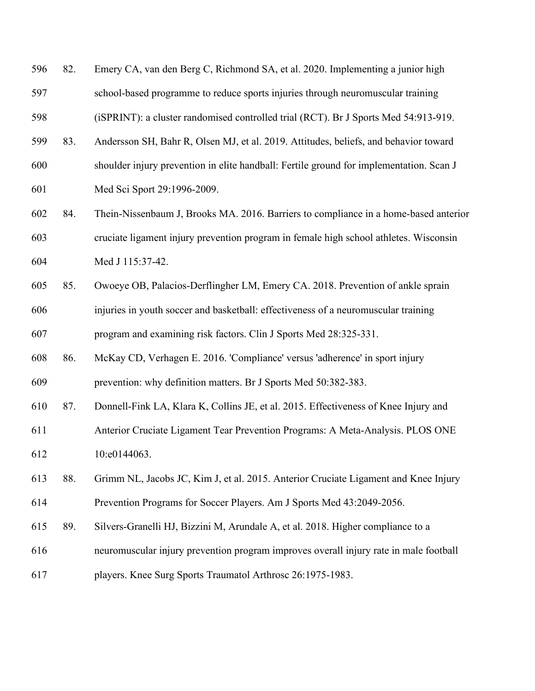| 596 | 82. | Emery CA, van den Berg C, Richmond SA, et al. 2020. Implementing a junior high          |
|-----|-----|-----------------------------------------------------------------------------------------|
| 597 |     | school-based programme to reduce sports injuries through neuromuscular training         |
| 598 |     | (iSPRINT): a cluster randomised controlled trial (RCT). Br J Sports Med 54:913-919.     |
| 599 | 83. | Andersson SH, Bahr R, Olsen MJ, et al. 2019. Attitudes, beliefs, and behavior toward    |
| 600 |     | shoulder injury prevention in elite handball: Fertile ground for implementation. Scan J |
| 601 |     | Med Sci Sport 29:1996-2009.                                                             |
| 602 | 84. | Thein-Nissenbaum J, Brooks MA. 2016. Barriers to compliance in a home-based anterior    |
| 603 |     | cruciate ligament injury prevention program in female high school athletes. Wisconsin   |
| 604 |     | Med J 115:37-42.                                                                        |
| 605 | 85. | Owoeye OB, Palacios-Derflingher LM, Emery CA. 2018. Prevention of ankle sprain          |
| 606 |     | injuries in youth soccer and basketball: effectiveness of a neuromuscular training      |
| 607 |     | program and examining risk factors. Clin J Sports Med 28:325-331.                       |
| 608 | 86. | McKay CD, Verhagen E. 2016. 'Compliance' versus 'adherence' in sport injury             |
| 609 |     | prevention: why definition matters. Br J Sports Med 50:382-383.                         |
| 610 | 87. | Donnell-Fink LA, Klara K, Collins JE, et al. 2015. Effectiveness of Knee Injury and     |
| 611 |     | Anterior Cruciate Ligament Tear Prevention Programs: A Meta-Analysis. PLOS ONE          |
| 612 |     | 10:e0144063.                                                                            |
| 613 | 88. | Grimm NL, Jacobs JC, Kim J, et al. 2015. Anterior Cruciate Ligament and Knee Injury     |
| 614 |     | Prevention Programs for Soccer Players. Am J Sports Med 43:2049-2056.                   |
| 615 | 89. | Silvers-Granelli HJ, Bizzini M, Arundale A, et al. 2018. Higher compliance to a         |
| 616 |     | neuromuscular injury prevention program improves overall injury rate in male football   |
| 617 |     | players. Knee Surg Sports Traumatol Arthrosc 26:1975-1983.                              |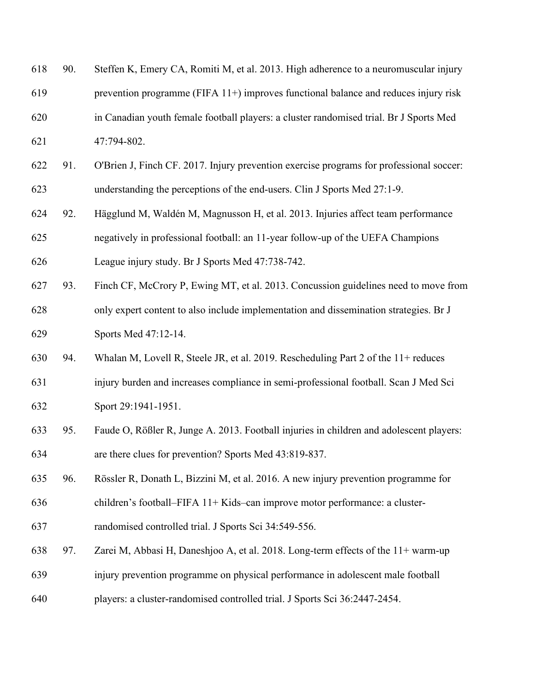| 618 | 90. | Steffen K, Emery CA, Romiti M, et al. 2013. High adherence to a neuromuscular injury   |
|-----|-----|----------------------------------------------------------------------------------------|
| 619 |     | prevention programme ( $FIFA 11+)$ improves functional balance and reduces injury risk |
| 620 |     | in Canadian youth female football players: a cluster randomised trial. Br J Sports Med |
| 621 |     | 47:794-802.                                                                            |

- 91. O'Brien J, Finch CF. 2017. Injury prevention exercise programs for professional soccer: understanding the perceptions of the end-users. Clin J Sports Med 27:1-9.
- 92. Hägglund M, Waldén M, Magnusson H, et al. 2013. Injuries affect team performance negatively in professional football: an 11-year follow-up of the UEFA Champions
- League injury study. Br J Sports Med 47:738-742.
- 93. Finch CF, McCrory P, Ewing MT, et al. 2013. Concussion guidelines need to move from only expert content to also include implementation and dissemination strategies. Br J Sports Med 47:12-14.
- 94. Whalan M, Lovell R, Steele JR, et al. 2019. Rescheduling Part 2 of the 11+ reduces injury burden and increases compliance in semi-professional football. Scan J Med Sci Sport 29:1941-1951.
- 95. Faude O, Rößler R, Junge A. 2013. Football injuries in children and adolescent players: are there clues for prevention? Sports Med 43:819-837.
- 96. Rössler R, Donath L, Bizzini M, et al. 2016. A new injury prevention programme for children's football–FIFA 11+ Kids–can improve motor performance: a cluster-
- randomised controlled trial. J Sports Sci 34:549-556.
- 97. Zarei M, Abbasi H, Daneshjoo A, et al. 2018. Long-term effects of the 11+ warm-up
- injury prevention programme on physical performance in adolescent male football
- players: a cluster-randomised controlled trial. J Sports Sci 36:2447-2454.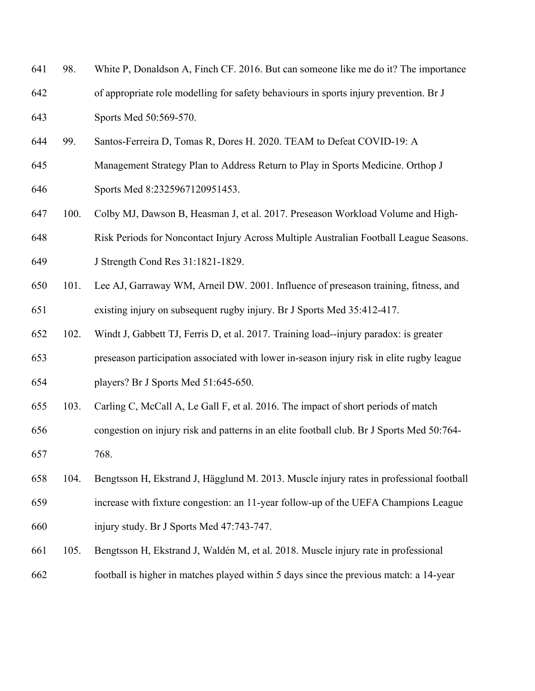| 641 | 98.  | White P, Donaldson A, Finch CF. 2016. But can someone like me do it? The importance       |
|-----|------|-------------------------------------------------------------------------------------------|
| 642 |      | of appropriate role modelling for safety behaviours in sports injury prevention. Br J     |
| 643 |      | Sports Med 50:569-570.                                                                    |
| 644 | 99.  | Santos-Ferreira D, Tomas R, Dores H. 2020. TEAM to Defeat COVID-19: A                     |
| 645 |      | Management Strategy Plan to Address Return to Play in Sports Medicine. Orthop J           |
| 646 |      | Sports Med 8:2325967120951453.                                                            |
| 647 | 100. | Colby MJ, Dawson B, Heasman J, et al. 2017. Preseason Workload Volume and High-           |
| 648 |      | Risk Periods for Noncontact Injury Across Multiple Australian Football League Seasons.    |
| 649 |      | J Strength Cond Res 31:1821-1829.                                                         |
| 650 | 101. | Lee AJ, Garraway WM, Arneil DW. 2001. Influence of preseason training, fitness, and       |
| 651 |      | existing injury on subsequent rugby injury. Br J Sports Med 35:412-417.                   |
| 652 | 102. | Windt J, Gabbett TJ, Ferris D, et al. 2017. Training load--injury paradox: is greater     |
| 653 |      | preseason participation associated with lower in-season injury risk in elite rugby league |
| 654 |      | players? Br J Sports Med 51:645-650.                                                      |
| 655 | 103. | Carling C, McCall A, Le Gall F, et al. 2016. The impact of short periods of match         |
| 656 |      | congestion on injury risk and patterns in an elite football club. Br J Sports Med 50:764- |
| 657 |      | 768.                                                                                      |
| 658 | 104. | Bengtsson H, Ekstrand J, Hägglund M. 2013. Muscle injury rates in professional football   |
| 659 |      | increase with fixture congestion: an 11-year follow-up of the UEFA Champions League       |
| 660 |      | injury study. Br J Sports Med 47:743-747.                                                 |
| 661 | 105. | Bengtsson H, Ekstrand J, Waldén M, et al. 2018. Muscle injury rate in professional        |
| 662 |      | football is higher in matches played within 5 days since the previous match: a 14-year    |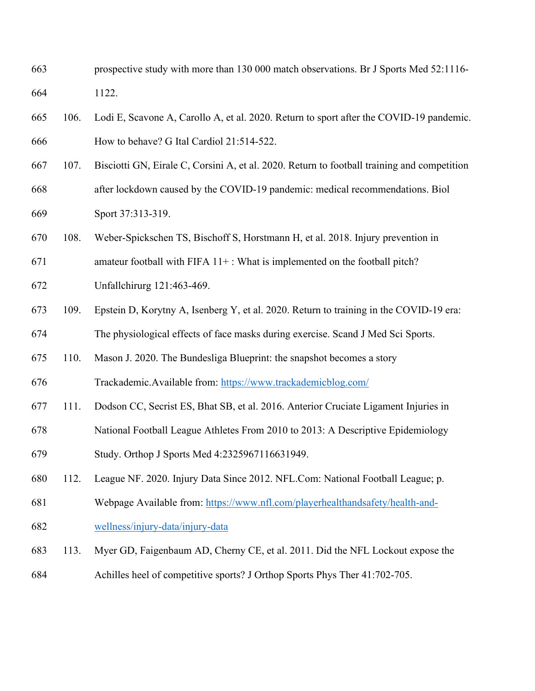- prospective study with more than 130 000 match observations. Br J Sports Med 52:1116- 1122.
- 106. Lodi E, Scavone A, Carollo A, et al. 2020. Return to sport after the COVID-19 pandemic. How to behave? G Ital Cardiol 21:514-522.
- 107. Bisciotti GN, Eirale C, Corsini A, et al. 2020. Return to football training and competition after lockdown caused by the COVID-19 pandemic: medical recommendations. Biol Sport 37:313-319.
- 108. Weber-Spickschen TS, Bischoff S, Horstmann H, et al. 2018. Injury prevention in
- 671 amateur football with FIFA  $11+$ : What is implemented on the football pitch?
- Unfallchirurg 121:463-469.
- 109. Epstein D, Korytny A, Isenberg Y, et al. 2020. Return to training in the COVID-19 era: The physiological effects of face masks during exercise. Scand J Med Sci Sports.
- 110. Mason J. 2020. The Bundesliga Blueprint: the snapshot becomes a story
- Trackademic.Available from:<https://www.trackademicblog.com/>
- 111. Dodson CC, Secrist ES, Bhat SB, et al. 2016. Anterior Cruciate Ligament Injuries in
- National Football League Athletes From 2010 to 2013: A Descriptive Epidemiology
- Study. Orthop J Sports Med 4:2325967116631949.
- 112. League NF. 2020. Injury Data Since 2012. NFL.Com: National Football League; p.
- Webpage Available from: [https://www.nfl.com/playerhealthandsafety/health-and-](https://www.nfl.com/playerhealthandsafety/health-and-wellness/injury-data/injury-data)[wellness/injury-data/injury-data](https://www.nfl.com/playerhealthandsafety/health-and-wellness/injury-data/injury-data)
- 113. Myer GD, Faigenbaum AD, Cherny CE, et al. 2011. Did the NFL Lockout expose the
- Achilles heel of competitive sports? J Orthop Sports Phys Ther 41:702-705.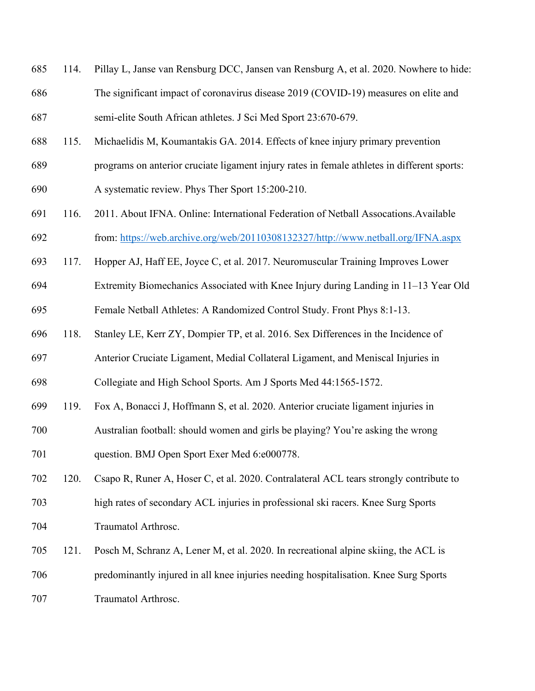- 114. Pillay L, Janse van Rensburg DCC, Jansen van Rensburg A, et al. 2020. Nowhere to hide: The significant impact of coronavirus disease 2019 (COVID-19) measures on elite and semi-elite South African athletes. J Sci Med Sport 23:670-679.
- 115. Michaelidis M, Koumantakis GA. 2014. Effects of knee injury primary prevention
- programs on anterior cruciate ligament injury rates in female athletes in different sports:
- A systematic review. Phys Ther Sport 15:200-210.
- 116. 2011. About IFNA. Online: International Federation of Netball Assocations.Available from: [https://web.archive.org/web/20110308132327/http://www.netball.org/IFNA.aspx](https://web.archive.org/web/20110308132327/http:/www.netball.org/IFNA.aspx)
- 117. Hopper AJ, Haff EE, Joyce C, et al. 2017. Neuromuscular Training Improves Lower
- Extremity Biomechanics Associated with Knee Injury during Landing in 11–13 Year Old
- Female Netball Athletes: A Randomized Control Study. Front Phys 8:1-13.
- 118. Stanley LE, Kerr ZY, Dompier TP, et al. 2016. Sex Differences in the Incidence of
- Anterior Cruciate Ligament, Medial Collateral Ligament, and Meniscal Injuries in
- Collegiate and High School Sports. Am J Sports Med 44:1565-1572.
- 119. Fox A, Bonacci J, Hoffmann S, et al. 2020. Anterior cruciate ligament injuries in
- Australian football: should women and girls be playing? You're asking the wrong question. BMJ Open Sport Exer Med 6:e000778.
- 120. Csapo R, Runer A, Hoser C, et al. 2020. Contralateral ACL tears strongly contribute to high rates of secondary ACL injuries in professional ski racers. Knee Surg Sports Traumatol Arthrosc.
- 121. Posch M, Schranz A, Lener M, et al. 2020. In recreational alpine skiing, the ACL is predominantly injured in all knee injuries needing hospitalisation. Knee Surg Sports Traumatol Arthrosc.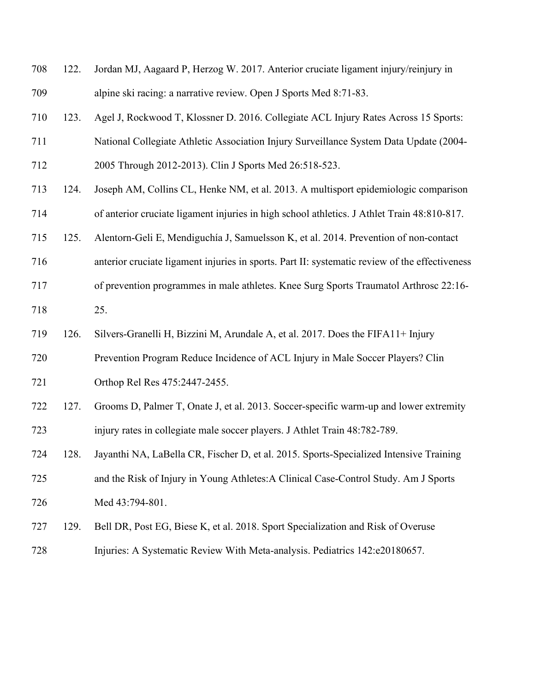| 708 | 122. | Jordan MJ, Aagaard P, Herzog W. 2017. Anterior cruciate ligament injury/reinjury in            |
|-----|------|------------------------------------------------------------------------------------------------|
| 709 |      | alpine ski racing: a narrative review. Open J Sports Med 8:71-83.                              |
| 710 | 123. | Agel J, Rockwood T, Klossner D. 2016. Collegiate ACL Injury Rates Across 15 Sports:            |
| 711 |      | National Collegiate Athletic Association Injury Surveillance System Data Update (2004-         |
| 712 |      | 2005 Through 2012-2013). Clin J Sports Med 26:518-523.                                         |
| 713 | 124. | Joseph AM, Collins CL, Henke NM, et al. 2013. A multisport epidemiologic comparison            |
| 714 |      | of anterior cruciate ligament injuries in high school athletics. J Athlet Train 48:810-817.    |
| 715 | 125. | Alentorn-Geli E, Mendiguchía J, Samuelsson K, et al. 2014. Prevention of non-contact           |
| 716 |      | anterior cruciate ligament injuries in sports. Part II: systematic review of the effectiveness |
| 717 |      | of prevention programmes in male athletes. Knee Surg Sports Traumatol Arthrosc 22:16-          |
| 718 |      | 25.                                                                                            |
| 719 | 126. | Silvers-Granelli H, Bizzini M, Arundale A, et al. 2017. Does the FIFA11+ Injury                |
| 720 |      | Prevention Program Reduce Incidence of ACL Injury in Male Soccer Players? Clin                 |
| 721 |      | Orthop Rel Res 475:2447-2455.                                                                  |
| 722 | 127. | Grooms D, Palmer T, Onate J, et al. 2013. Soccer-specific warm-up and lower extremity          |
| 723 |      | injury rates in collegiate male soccer players. J Athlet Train 48:782-789.                     |
| 724 | 128. | Jayanthi NA, LaBella CR, Fischer D, et al. 2015. Sports-Specialized Intensive Training         |
| 725 |      | and the Risk of Injury in Young Athletes: A Clinical Case-Control Study. Am J Sports           |
| 726 |      | Med 43:794-801.                                                                                |
| 727 | 129. | Bell DR, Post EG, Biese K, et al. 2018. Sport Specialization and Risk of Overuse               |
| 728 |      | Injuries: A Systematic Review With Meta-analysis. Pediatrics 142:e20180657.                    |